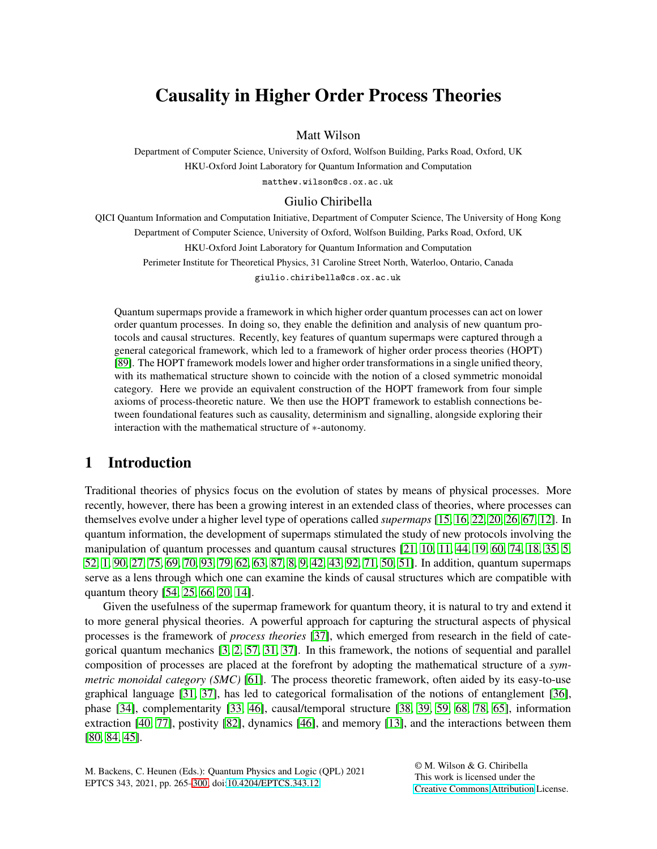# Causality in Higher Order Process Theories

Matt Wilson

Department of Computer Science, University of Oxford, Wolfson Building, Parks Road, Oxford, UK HKU-Oxford Joint Laboratory for Quantum Information and Computation matthew.wilson@cs.ox.ac.uk

#### Giulio Chiribella

QICI Quantum Information and Computation Initiative, Department of Computer Science, The University of Hong Kong Department of Computer Science, University of Oxford, Wolfson Building, Parks Road, Oxford, UK HKU-Oxford Joint Laboratory for Quantum Information and Computation Perimeter Institute for Theoretical Physics, 31 Caroline Street North, Waterloo, Ontario, Canada giulio.chiribella@cs.ox.ac.uk

Quantum supermaps provide a framework in which higher order quantum processes can act on lower order quantum processes. In doing so, they enable the definition and analysis of new quantum protocols and causal structures. Recently, key features of quantum supermaps were captured through a general categorical framework, which led to a framework of higher order process theories (HOPT) [\[89\]](#page-20-0). The HOPT framework models lower and higher order transformations in a single unified theory, with its mathematical structure shown to coincide with the notion of a closed symmetric monoidal category. Here we provide an equivalent construction of the HOPT framework from four simple axioms of process-theoretic nature. We then use the HOPT framework to establish connections between foundational features such as causality, determinism and signalling, alongside exploring their interaction with the mathematical structure of ∗-autonomy.

# 1 Introduction

Traditional theories of physics focus on the evolution of states by means of physical processes. More recently, however, there has been a growing interest in an extended class of theories, where processes can themselves evolve under a higher level type of operations called *supermaps* [\[15,](#page-16-0) [16,](#page-16-1) [22,](#page-16-2) [20,](#page-16-3) [26,](#page-16-4) [67,](#page-19-0) [12\]](#page-16-5). In quantum information, the development of supermaps stimulated the study of new protocols involving the manipulation of quantum processes and quantum causal structures [\[21,](#page-16-6) [10,](#page-15-0) [11,](#page-15-1) [44,](#page-17-0) [19,](#page-16-7) [60,](#page-18-0) [74,](#page-19-1) [18,](#page-16-8) [35,](#page-17-1) [5,](#page-15-2) [52,](#page-18-1) [1,](#page-15-3) [90,](#page-20-1) [27,](#page-16-9) [75,](#page-19-2) [69,](#page-19-3) [70,](#page-19-4) [93,](#page-20-2) [79,](#page-19-5) [62,](#page-18-2) [63,](#page-18-3) [87,](#page-20-3) [8,](#page-15-4) [9,](#page-15-5) [42,](#page-17-2) [43,](#page-17-3) [92,](#page-20-4) [71,](#page-19-6) [50,](#page-18-4) [51\]](#page-18-5). In addition, quantum supermaps serve as a lens through which one can examine the kinds of causal structures which are compatible with quantum theory [\[54,](#page-18-6) [25,](#page-16-10) [66,](#page-19-7) [20,](#page-16-3) [14\]](#page-16-11).

Given the usefulness of the supermap framework for quantum theory, it is natural to try and extend it to more general physical theories. A powerful approach for capturing the structural aspects of physical processes is the framework of *process theories* [\[37\]](#page-17-4), which emerged from research in the field of categorical quantum mechanics [\[3,](#page-15-6) [2,](#page-15-7) [57,](#page-18-7) [31,](#page-17-5) [37\]](#page-17-4). In this framework, the notions of sequential and parallel composition of processes are placed at the forefront by adopting the mathematical structure of a *symmetric monoidal category (SMC)* [\[61\]](#page-18-8). The process theoretic framework, often aided by its easy-to-use graphical language [\[31,](#page-17-5) [37\]](#page-17-4), has led to categorical formalisation of the notions of entanglement [\[36\]](#page-17-6), phase [\[34\]](#page-17-7), complementarity [\[33,](#page-17-8) [46\]](#page-18-9), causal/temporal structure [\[38,](#page-17-9) [39,](#page-17-10) [59,](#page-18-10) [68,](#page-19-8) [78,](#page-19-9) 65], information extraction [\[40,](#page-17-11) [77\]](#page-19-10), postivity [\[82\]](#page-19-11), dynamics [\[46\]](#page-18-9), and memory [\[13\]](#page-16-12), and the interactions between them [\[80,](#page-19-12) [84,](#page-20-5) [45\]](#page-17-12).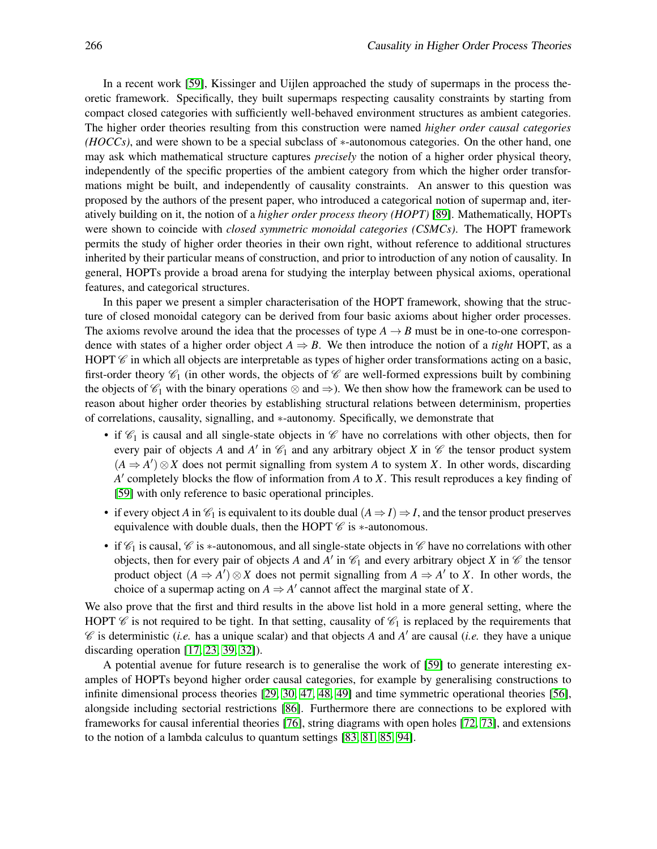In a recent work [\[59\]](#page-18-10), Kissinger and Uijlen approached the study of supermaps in the process theoretic framework. Specifically, they built supermaps respecting causality constraints by starting from compact closed categories with sufficiently well-behaved environment structures as ambient categories. The higher order theories resulting from this construction were named *higher order causal categories (HOCCs)*, and were shown to be a special subclass of \*-autonomous categories. On the other hand, one may ask which mathematical structure captures *precisely* the notion of a higher order physical theory, independently of the specific properties of the ambient category from which the higher order transformations might be built, and independently of causality constraints. An answer to this question was proposed by the authors of the present paper, who introduced a categorical notion of supermap and, iteratively building on it, the notion of a *higher order process theory (HOPT)* [\[89\]](#page-20-0). Mathematically, HOPTs were shown to coincide with *closed symmetric monoidal categories (CSMCs)*. The HOPT framework permits the study of higher order theories in their own right, without reference to additional structures inherited by their particular means of construction, and prior to introduction of any notion of causality. In general, HOPTs provide a broad arena for studying the interplay between physical axioms, operational features, and categorical structures.

In this paper we present a simpler characterisation of the HOPT framework, showing that the structure of closed monoidal category can be derived from four basic axioms about higher order processes. The axioms revolve around the idea that the processes of type  $A \rightarrow B$  must be in one-to-one correspondence with states of a higher order object  $A \Rightarrow B$ . We then introduce the notion of a *tight* HOPT, as a HOPT  $\mathscr C$  in which all objects are interpretable as types of higher order transformations acting on a basic, first-order theory  $\mathcal{C}_1$  (in other words, the objects of  $\mathcal C$  are well-formed expressions built by combining the objects of  $\mathcal{C}_1$  with the binary operations  $\otimes$  and  $\Rightarrow$ ). We then show how the framework can be used to reason about higher order theories by establishing structural relations between determinism, properties of correlations, causality, signalling, and ∗-autonomy. Specifically, we demonstrate that

- if  $\mathcal{C}_1$  is causal and all single-state objects in  $\mathcal C$  have no correlations with other objects, then for every pair of objects *A* and *A'* in  $\mathcal{C}_1$  and any arbitrary object *X* in  $\mathcal{C}$  the tensor product system  $(A ⇒ A') ⊗ X$  does not permit signalling from system *A* to system *X*. In other words, discarding *A* ′ completely blocks the flow of information from *A* to *X*. This result reproduces a key finding of [\[59\]](#page-18-10) with only reference to basic operational principles.
- if every object *A* in  $\mathcal{C}_1$  is equivalent to its double dual  $(A \Rightarrow I) \Rightarrow I$ , and the tensor product preserves equivalence with double duals, then the HOPT  $\mathscr C$  is  $*$ -autonomous.
- if  $\mathcal{C}_1$  is causal,  $\mathcal{C}$  is \*-autonomous, and all single-state objects in  $\mathcal{C}$  have no correlations with other objects, then for every pair of objects *A* and *A'* in  $\mathcal{C}_1$  and every arbitrary object *X* in  $\mathcal C$  the tensor product object  $(A \Rightarrow A') \otimes X$  does not permit signalling from  $A \Rightarrow A'$  to X. In other words, the choice of a supermap acting on  $A \Rightarrow A'$  cannot affect the marginal state of X.

We also prove that the first and third results in the above list hold in a more general setting, where the HOPT  $\mathscr C$  is not required to be tight. In that setting, causality of  $\mathscr C_1$  is replaced by the requirements that C is deterministic (*i.e.* has a unique scalar) and that objects *A* and *A* ′ are causal (*i.e.* they have a unique discarding operation [\[17,](#page-16-13) [23,](#page-16-14) [39,](#page-17-10) [32\]](#page-17-13)).

A potential avenue for future research is to generalise the work of [\[59\]](#page-18-10) to generate interesting examples of HOPTs beyond higher order causal categories, for example by generalising constructions to infinite dimensional process theories [\[29,](#page-17-14) [30,](#page-17-15) [47,](#page-18-11) [48,](#page-18-12) [49\]](#page-18-13) and time symmetric operational theories [\[56\]](#page-18-14), alongside including sectorial restrictions [\[86\]](#page-20-6). Furthermore there are connections to be explored with frameworks for causal inferential theories [\[76\]](#page-19-13), string diagrams with open holes [\[72,](#page-19-14) [73\]](#page-19-15), and extensions to the notion of a lambda calculus to quantum settings [\[83,](#page-19-16) [81,](#page-19-17) [85,](#page-20-7) [94\]](#page-20-8).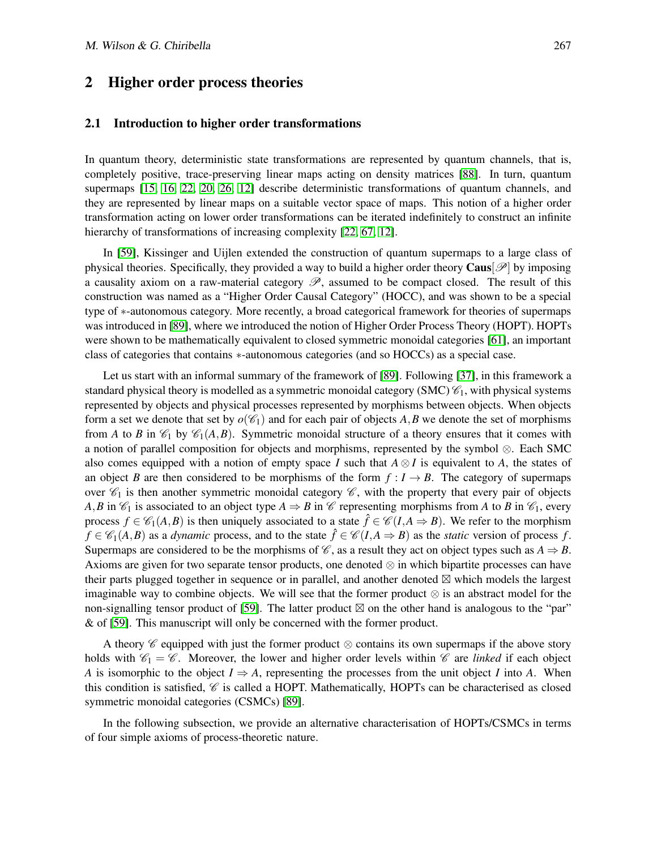#### 2 Higher order process theories

#### 2.1 Introduction to higher order transformations

In quantum theory, deterministic state transformations are represented by quantum channels, that is, completely positive, trace-preserving linear maps acting on density matrices [\[88\]](#page-20-9). In turn, quantum supermaps [\[15,](#page-16-0) [16,](#page-16-1) [22,](#page-16-2) [20,](#page-16-3) [26,](#page-16-4) [12\]](#page-16-5) describe deterministic transformations of quantum channels, and they are represented by linear maps on a suitable vector space of maps. This notion of a higher order transformation acting on lower order transformations can be iterated indefinitely to construct an infinite hierarchy of transformations of increasing complexity [\[22,](#page-16-2) [67,](#page-19-0) [12\]](#page-16-5).

In [\[59\]](#page-18-10), Kissinger and Uijlen extended the construction of quantum supermaps to a large class of physical theories. Specifically, they provided a way to build a higher order theory  $\text{Caus}[\mathscr{P}]$  by imposing a causality axiom on a raw-material category  $\mathscr{P}$ , assumed to be compact closed. The result of this construction was named as a "Higher Order Causal Category" (HOCC), and was shown to be a special type of ∗-autonomous category. More recently, a broad categorical framework for theories of supermaps was introduced in [\[89\]](#page-20-0), where we introduced the notion of Higher Order Process Theory (HOPT). HOPTs were shown to be mathematically equivalent to closed symmetric monoidal categories [\[61\]](#page-18-8), an important class of categories that contains ∗-autonomous categories (and so HOCCs) as a special case.

Let us start with an informal summary of the framework of [\[89\]](#page-20-0). Following [\[37\]](#page-17-4), in this framework a standard physical theory is modelled as a symmetric monoidal category (SMC)  $\mathcal{C}_1$ , with physical systems represented by objects and physical processes represented by morphisms between objects. When objects form a set we denote that set by  $o(\mathscr{C}_1)$  and for each pair of objects A, B we denote the set of morphisms from *A* to *B* in  $\mathcal{C}_1$  by  $\mathcal{C}_1(A,B)$ . Symmetric monoidal structure of a theory ensures that it comes with a notion of parallel composition for objects and morphisms, represented by the symbol ⊗. Each SMC also comes equipped with a notion of empty space *I* such that  $A \otimes I$  is equivalent to *A*, the states of an object *B* are then considered to be morphisms of the form  $f : I \rightarrow B$ . The category of supermaps over  $\mathcal{C}_1$  is then another symmetric monoidal category  $\mathcal{C}$ , with the property that every pair of objects *A*,*B* in  $\mathcal{C}_1$  is associated to an object type  $A \Rightarrow B$  in  $\mathcal{C}$  representing morphisms from *A* to *B* in  $\mathcal{C}_1$ , every process  $f \in \mathcal{C}_1(A,B)$  is then uniquely associated to a state  $\hat{f} \in \mathcal{C}(I,A \Rightarrow B)$ . We refer to the morphism  $f \in \mathcal{C}_1(A,B)$  as a *dynamic* process, and to the state  $\hat{f} \in \mathcal{C}(I,A \Rightarrow B)$  as the *static* version of process *f*. Supermaps are considered to be the morphisms of  $\mathcal{C}$ , as a result they act on object types such as  $A \Rightarrow B$ . Axioms are given for two separate tensor products, one denoted ⊗ in which bipartite processes can have their parts plugged together in sequence or in parallel, and another denoted ⊠ which models the largest imaginable way to combine objects. We will see that the former product ⊗ is an abstract model for the non-signalling tensor product of [\[59\]](#page-18-10). The latter product  $\boxtimes$  on the other hand is analogous to the "par" & of [\[59\]](#page-18-10). This manuscript will only be concerned with the former product.

A theory  $\mathscr C$  equipped with just the former product  $\otimes$  contains its own supermaps if the above story holds with  $\mathcal{C}_1 = \mathcal{C}$ . Moreover, the lower and higher order levels within  $\mathcal{C}$  are *linked* if each object *A* is isomorphic to the object  $I \Rightarrow A$ , representing the processes from the unit object *I* into *A*. When this condition is satisfied,  $\mathcal C$  is called a HOPT. Mathematically, HOPTs can be characterised as closed symmetric monoidal categories (CSMCs) [\[89\]](#page-20-0).

In the following subsection, we provide an alternative characterisation of HOPTs/CSMCs in terms of four simple axioms of process-theoretic nature.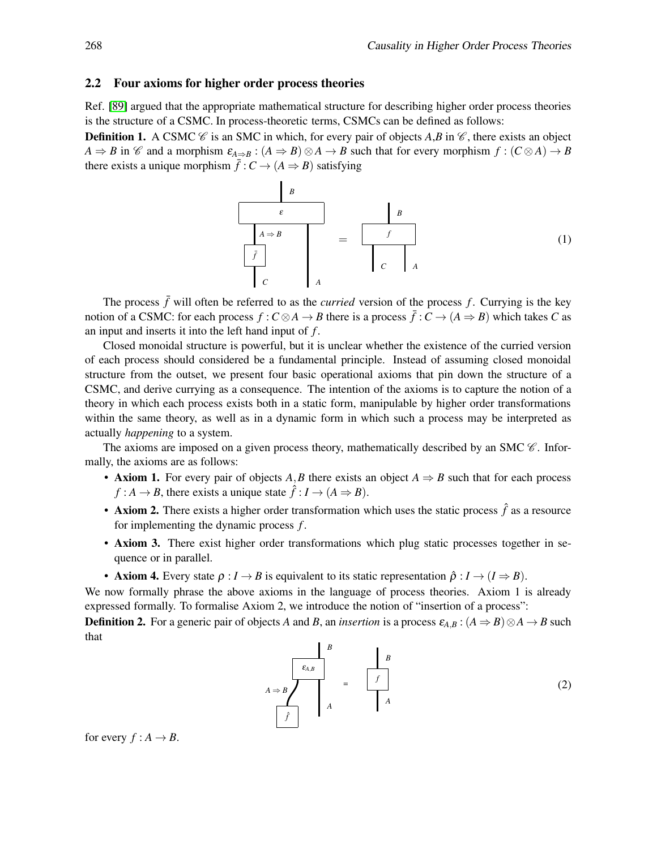#### 2.2 Four axioms for higher order process theories

Ref. [\[89\]](#page-20-0) argued that the appropriate mathematical structure for describing higher order process theories is the structure of a CSMC. In process-theoretic terms, CSMCs can be defined as follows:

**Definition 1.** A CSMC  $\mathcal{C}$  is an SMC in which, for every pair of objects *A*,*B* in  $\mathcal{C}$ , there exists an object  $A \Rightarrow B$  in  $\mathscr C$  and a morphism  $\varepsilon_{A \Rightarrow B}$  :  $(A \Rightarrow B) \otimes A \to B$  such that for every morphism  $f : (C \otimes A) \to B$ there exists a unique morphism  $\bar{f}$  :  $C \rightarrow (A \Rightarrow B)$  satisfying



The process  $\bar{f}$  will often be referred to as the *curried* version of the process  $f$ . Currying is the key notion of a CSMC: for each process  $f: C \otimes A \to B$  there is a process  $\bar{f}: C \to (A \Rightarrow B)$  which takes *C* as an input and inserts it into the left hand input of *f* .

Closed monoidal structure is powerful, but it is unclear whether the existence of the curried version of each process should considered be a fundamental principle. Instead of assuming closed monoidal structure from the outset, we present four basic operational axioms that pin down the structure of a CSMC, and derive currying as a consequence. The intention of the axioms is to capture the notion of a theory in which each process exists both in a static form, manipulable by higher order transformations within the same theory, as well as in a dynamic form in which such a process may be interpreted as actually *happening* to a system.

The axioms are imposed on a given process theory, mathematically described by an SMC  $\mathscr C$ . Informally, the axioms are as follows:

- Axiom 1. For every pair of objects *A*,*B* there exists an object  $A \Rightarrow B$  such that for each process  $f : A \to B$ , there exists a unique state  $\hat{f} : I \to (A \Rightarrow B)$ .
- Axiom 2. There exists a higher order transformation which uses the static process  $\hat{f}$  as a resource for implementing the dynamic process *f* .
- Axiom 3. There exist higher order transformations which plug static processes together in sequence or in parallel.
- Axiom 4. Every state  $\rho: I \to B$  is equivalent to its static representation  $\hat{\rho}: I \to (I \Rightarrow B)$ .

We now formally phrase the above axioms in the language of process theories. Axiom 1 is already expressed formally. To formalise Axiom 2, we introduce the notion of "insertion of a process":

**Definition 2.** For a generic pair of objects *A* and *B*, an *insertion* is a process  $\varepsilon_{A,B}$ :  $(A \Rightarrow B) \otimes A \rightarrow B$  such that

$$
A \Rightarrow B
$$
\n
$$
\begin{array}{c|c}\n & B & B \\
\hline\n\epsilon_{A,B} & & \\
\hline\nf & & \\
\hline\nf & & \\
\hline\n\end{array}
$$
\n
$$
= \frac{B}{f}
$$
\n
$$
\begin{array}{c}\nB \\
f \\
A\n\end{array}
$$
\n
$$
(2)
$$

for every  $f : A \rightarrow B$ .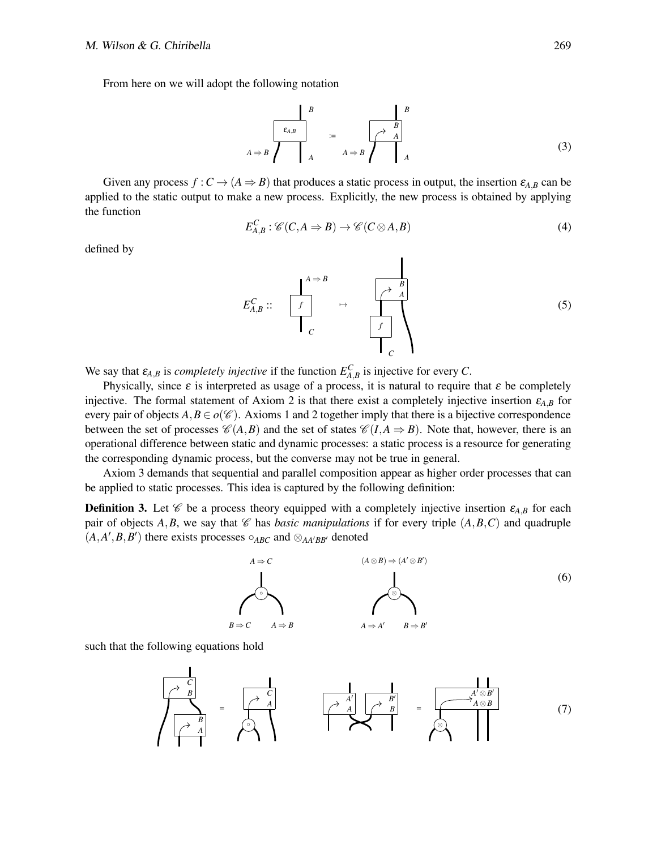From here on we will adopt the following notation

$$
A \Rightarrow B
$$
\n
$$
\begin{array}{ccc}\n & B & B \\
\hline\n\epsilon_{A,B} & & \\
 & A & A \Rightarrow B\n\end{array}
$$
\n
$$
\begin{array}{ccc}\n & B & \\
 & A & \\
 & A & A \Rightarrow B & \\
 & A & A\n\end{array}
$$
\n
$$
(3)
$$

Given any process  $f: C \to (A \Rightarrow B)$  that produces a static process in output, the insertion  $\varepsilon_{A,B}$  can be applied to the static output to make a new process. Explicitly, the new process is obtained by applying the function

$$
E_{A,B}^C: \mathscr{C}(C, A \Rightarrow B) \to \mathscr{C}(C \otimes A, B)
$$
\n<sup>(4)</sup>

defined by

$$
E_{A,B}^C:: \quad\n\begin{array}{ccc}\nA \Rightarrow B \\
\hline\nf \\
C\n\end{array}\n\quad\n\rightarrow\n\quad\n\begin{array}{ccc}\n\nearrow & B \\
\hline\nf \\
C\n\end{array}
$$
\n(5)

We say that  $\varepsilon_{A,B}$  is *completely injective* if the function  $E_{A,B}^C$  is injective for every *C*.

Physically, since  $\varepsilon$  is interpreted as usage of a process, it is natural to require that  $\varepsilon$  be completely injective. The formal statement of Axiom 2 is that there exist a completely injective insertion  $\varepsilon_{A,B}$  for every pair of objects  $A, B \in o(\mathscr{C})$ . Axioms 1 and 2 together imply that there is a bijective correspondence between the set of processes  $\mathcal{C}(A,B)$  and the set of states  $\mathcal{C}(I,A \Rightarrow B)$ . Note that, however, there is an operational difference between static and dynamic processes: a static process is a resource for generating the corresponding dynamic process, but the converse may not be true in general.

Axiom 3 demands that sequential and parallel composition appear as higher order processes that can be applied to static processes. This idea is captured by the following definition:

**Definition 3.** Let  $\mathscr C$  be a process theory equipped with a completely injective insertion  $\varepsilon_{A,B}$  for each pair of objects A, B, we say that  $\mathscr C$  has *basic manipulations* if for every triple  $(A, B, C)$  and quadruple  $(A, A', B, B')$  there exists processes  $\circ_{ABC}$  and  $\otimes_{AA'BB'}$  denoted



such that the following equations hold

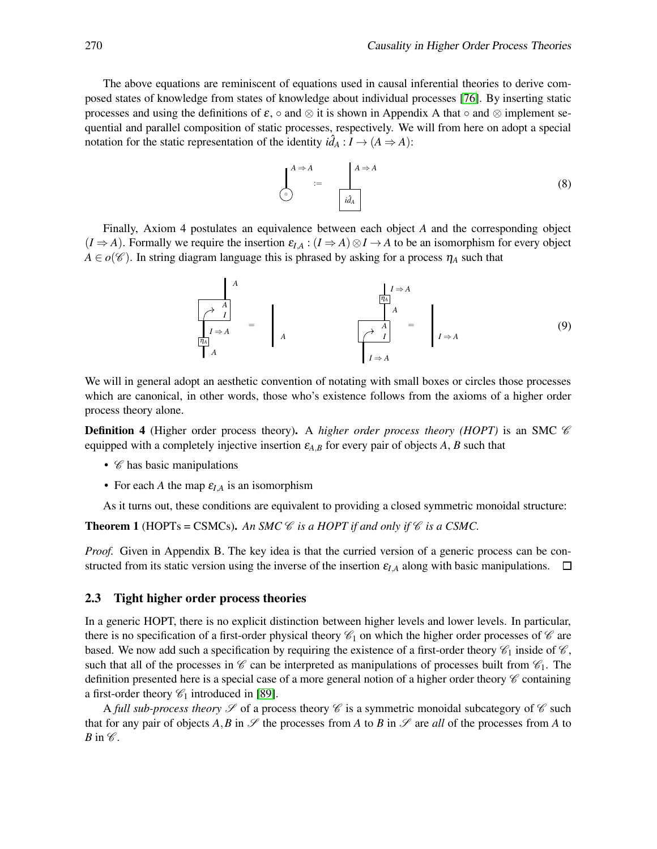The above equations are reminiscent of equations used in causal inferential theories to derive composed states of knowledge from states of knowledge about individual processes [\[76\]](#page-19-13). By inserting static processes and using the definitions of  $\varepsilon$ , ∘ and ⊗ it is shown in Appendix A that ∘ and ⊗ implement sequential and parallel composition of static processes, respectively. We will from here on adopt a special notation for the static representation of the identity  $i\hat{d}_A : I \to (A \Rightarrow A)$ :

$$
\begin{bmatrix}\nA \Rightarrow A \\
\circ \\
\circ\n\end{bmatrix} := \begin{bmatrix}\nA \Rightarrow A \\
\vdots \\
\vdots \\
\vdots \\
aA\n\end{bmatrix}
$$
\n(8)

Finally, Axiom 4 postulates an equivalence between each object *A* and the corresponding object  $(I \Rightarrow A)$ . Formally we require the insertion  $\varepsilon_{I,A}: (I \Rightarrow A) \otimes I \to A$  to be an isomorphism for every object  $A \in o(\mathscr{C})$ . In string diagram language this is phrased by asking for a process  $\eta_A$  such that

$$
\frac{A}{\begin{bmatrix} \lambda & A \\ \lambda & I \end{bmatrix}} = \begin{bmatrix} 1 \Rightarrow A \\ A \end{bmatrix} = \begin{bmatrix} 1 \Rightarrow A \\ A \end{bmatrix}
$$
 (9)

We will in general adopt an aesthetic convention of notating with small boxes or circles those processes which are canonical, in other words, those who's existence follows from the axioms of a higher order process theory alone.

**Definition 4** (Higher order process theory). A *higher order process theory (HOPT)* is an SMC  $\mathscr C$ equipped with a completely injective insertion <sup>ε</sup>*A*,*<sup>B</sup>* for every pair of objects *A*, *B* such that

- $\mathscr C$  has basic manipulations
- For each *A* the map  $\varepsilon_{I,A}$  is an isomorphism

As it turns out, these conditions are equivalent to providing a closed symmetric monoidal structure:

**Theorem 1** (HOPTs = CSMCs). An SMC  $\mathcal{C}$  *is a HOPT if and only if*  $\mathcal{C}$  *is a CSMC*.

*Proof.* Given in Appendix B. The key idea is that the curried version of a generic process can be constructed from its static version using the inverse of the insertion  $\varepsilon_{I,A}$  along with basic manipulations.  $\Box$ 

#### 2.3 Tight higher order process theories

In a generic HOPT, there is no explicit distinction between higher levels and lower levels. In particular, there is no specification of a first-order physical theory  $\mathscr{C}_1$  on which the higher order processes of  $\mathscr{C}$  are based. We now add such a specification by requiring the existence of a first-order theory  $\mathscr{C}_1$  inside of  $\mathscr{C}$ , such that all of the processes in  $\mathscr C$  can be interpreted as manipulations of processes built from  $\mathscr C_1$ . The definition presented here is a special case of a more general notion of a higher order theory  $\mathscr C$  containing a first-order theory  $\mathcal{C}_1$  introduced in [\[89\]](#page-20-0).

A *full sub-process theory*  $\mathscr S$  of a process theory  $\mathscr C$  is a symmetric monoidal subcategory of  $\mathscr C$  such that for any pair of objects  $A, B$  in  $\mathscr S$  the processes from *A* to *B* in  $\mathscr S$  are *all* of the processes from *A* to *B* in  $\mathscr C$ .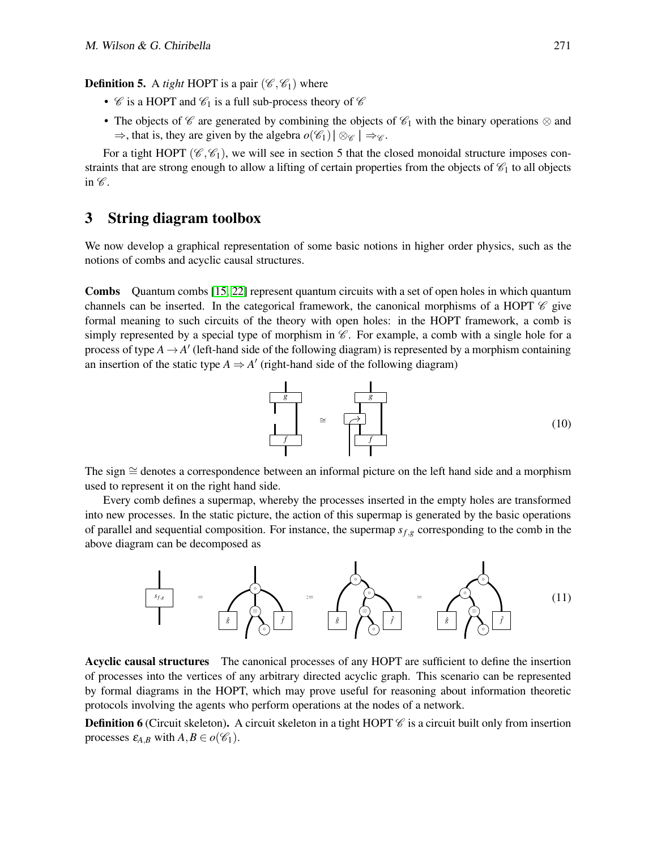**Definition 5.** A *tight* HOPT is a pair  $(\mathscr{C}, \mathscr{C}_1)$  where

- $\mathscr C$  is a HOPT and  $\mathscr C_1$  is a full sub-process theory of  $\mathscr C$
- The objects of  $\mathscr C$  are generated by combining the objects of  $\mathscr C_1$  with the binary operations  $\otimes$  and  $\Rightarrow$ , that is, they are given by the algebra  $o(\mathscr{C}_1) \otimes_{\mathscr{C}} \mathscr{C} \Rightarrow$

For a tight HOPT ( $\mathcal{C}, \mathcal{C}_1$ ), we will see in section 5 that the closed monoidal structure imposes constraints that are strong enough to allow a lifting of certain properties from the objects of  $\mathcal{C}_1$  to all objects in  $\mathscr C$ .

### 3 String diagram toolbox

We now develop a graphical representation of some basic notions in higher order physics, such as the notions of combs and acyclic causal structures.

Combs Quantum combs [\[15,](#page-16-0) [22\]](#page-16-2) represent quantum circuits with a set of open holes in which quantum channels can be inserted. In the categorical framework, the canonical morphisms of a HOPT  $\mathscr C$  give formal meaning to such circuits of the theory with open holes: in the HOPT framework, a comb is simply represented by a special type of morphism in  $\mathscr C$ . For example, a comb with a single hole for a process of type  $A \rightarrow A'$  (left-hand side of the following diagram) is represented by a morphism containing an insertion of the static type  $A \Rightarrow A'$  (right-hand side of the following diagram)



The sign ≅ denotes a correspondence between an informal picture on the left hand side and a morphism used to represent it on the right hand side.

Every comb defines a supermap, whereby the processes inserted in the empty holes are transformed into new processes. In the static picture, the action of this supermap is generated by the basic operations of parallel and sequential composition. For instance, the supermap *sf*,*<sup>g</sup>* corresponding to the comb in the above diagram can be decomposed as



Acyclic causal structures The canonical processes of any HOPT are sufficient to define the insertion of processes into the vertices of any arbitrary directed acyclic graph. This scenario can be represented by formal diagrams in the HOPT, which may prove useful for reasoning about information theoretic protocols involving the agents who perform operations at the nodes of a network.

**Definition 6** (Circuit skeleton). A circuit skeleton in a tight HOPT  $\mathscr C$  is a circuit built only from insertion processes  $\varepsilon_{A,B}$  with  $A,B \in o(\mathscr{C}_1)$ .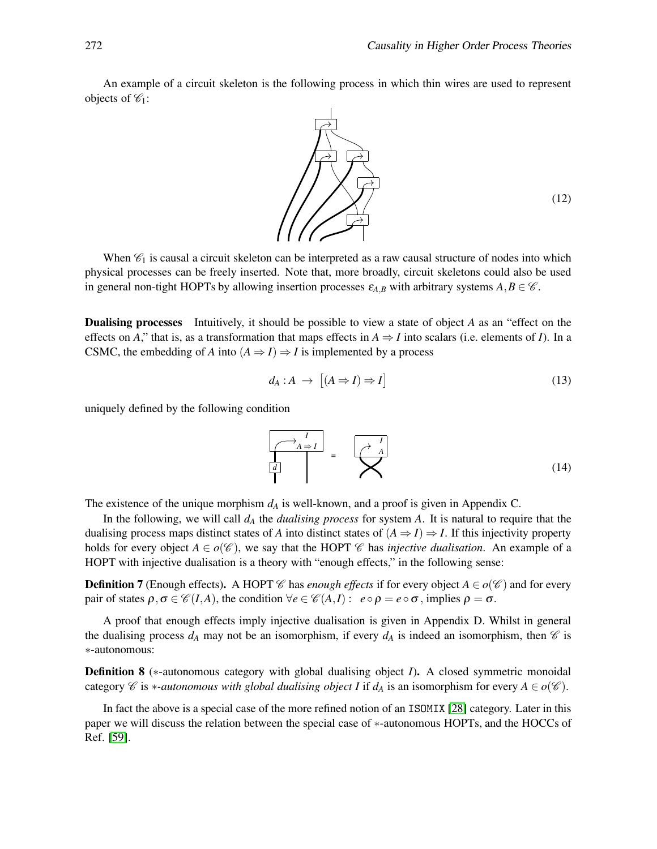An example of a circuit skeleton is the following process in which thin wires are used to represent objects of  $\mathscr{C}_1$ :



When  $\mathcal{C}_1$  is causal a circuit skeleton can be interpreted as a raw causal structure of nodes into which physical processes can be freely inserted. Note that, more broadly, circuit skeletons could also be used in general non-tight HOPTs by allowing insertion processes  $\varepsilon_{A,B}$  with arbitrary systems  $A, B \in \mathcal{C}$ .

Dualising processes Intuitively, it should be possible to view a state of object *A* as an "effect on the effects on *A*," that is, as a transformation that maps effects in  $A \Rightarrow I$  into scalars (i.e. elements of *I*). In a CSMC, the embedding of *A* into  $(A \Rightarrow I) \Rightarrow I$  is implemented by a process

$$
d_A: A \to [(A \Rightarrow I) \Rightarrow I]
$$
\n(13)

uniquely defined by the following condition

$$
\begin{bmatrix} \overrightarrow{A} & \overrightarrow{I} \\ \overrightarrow{d} & \overrightarrow{I} \end{bmatrix} = \begin{bmatrix} \overrightarrow{A} & \overrightarrow{I} \\ \overrightarrow{A} & \overrightarrow{I} \end{bmatrix}
$$
 (14)

The existence of the unique morphism *d<sup>A</sup>* is well-known, and a proof is given in Appendix C.

In the following, we will call *d<sup>A</sup>* the *dualising process* for system *A*. It is natural to require that the dualising process maps distinct states of *A* into distinct states of  $(A \Rightarrow I) \Rightarrow I$ . If this injectivity property holds for every object  $A \in o(\mathscr{C})$ , we say that the HOPT  $\mathscr{C}$  has *injective dualisation*. An example of a HOPT with injective dualisation is a theory with "enough effects," in the following sense:

**Definition 7** (Enough effects). A HOPT C has *enough effects* if for every object  $A \in o(C)$  and for every pair of states  $\rho, \sigma \in \mathcal{C}(I,A)$ , the condition  $\forall e \in \mathcal{C}(A,I) : e \circ \rho = e \circ \sigma$ , implies  $\rho = \sigma$ .

A proof that enough effects imply injective dualisation is given in Appendix D. Whilst in general the dualising process  $d_A$  may not be an isomorphism, if every  $d_A$  is indeed an isomorphism, then  $\mathscr C$  is ∗-autonomous:

Definition 8 (<sup>∗</sup>-autonomous category with global dualising object *I*). A closed symmetric monoidal category C is *\**-autonomous with global dualising object I if  $d_A$  is an isomorphism for every  $A \in o(\mathcal{C})$ .

In fact the above is a special case of the more refined notion of an ISOMIX [\[28\]](#page-16-15) category. Later in this paper we will discuss the relation between the special case of ∗-autonomous HOPTs, and the HOCCs of Ref. [\[59\]](#page-18-10).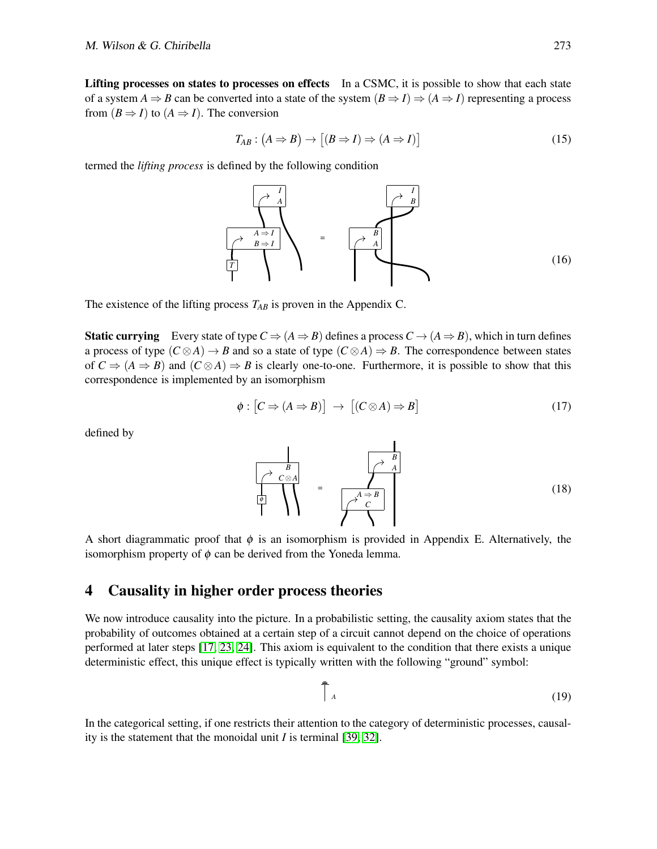Lifting processes on states to processes on effects In a CSMC, it is possible to show that each state of a system  $A \Rightarrow B$  can be converted into a state of the system  $(B \Rightarrow I) \Rightarrow (A \Rightarrow I)$  representing a process from  $(B \Rightarrow I)$  to  $(A \Rightarrow I)$ . The conversion

$$
T_{AB}: (A \Rightarrow B) \to [(B \Rightarrow I) \Rightarrow (A \Rightarrow I)] \tag{15}
$$

termed the *lifting process* is defined by the following condition



The existence of the lifting process *TAB* is proven in the Appendix C.

**Static currying** Every state of type  $C \Rightarrow (A \Rightarrow B)$  defines a process  $C \rightarrow (A \Rightarrow B)$ , which in turn defines a process of type  $(C \otimes A) \to B$  and so a state of type  $(C \otimes A) \to B$ . The correspondence between states of  $C \Rightarrow (A \Rightarrow B)$  and  $(C \otimes A) \Rightarrow B$  is clearly one-to-one. Furthermore, it is possible to show that this correspondence is implemented by an isomorphism

$$
\phi : [C \Rightarrow (A \Rightarrow B)] \rightarrow [(C \otimes A) \Rightarrow B]
$$
\n(17)

defined by

$$
\frac{B}{\begin{pmatrix} \lambda & B \\ C \otimes A \\ \hline 0 \\ 1 \end{pmatrix}} = \frac{A \Rightarrow B}{\begin{pmatrix} \lambda & B \\ C \\ C \\ 1 \end{pmatrix}}
$$
 (18)

A short diagrammatic proof that  $\phi$  is an isomorphism is provided in Appendix E. Alternatively, the isomorphism property of  $\phi$  can be derived from the Yoneda lemma.

# 4 Causality in higher order process theories

We now introduce causality into the picture. In a probabilistic setting, the causality axiom states that the probability of outcomes obtained at a certain step of a circuit cannot depend on the choice of operations performed at later steps [\[17,](#page-16-13) [23,](#page-16-14) [24\]](#page-16-16). This axiom is equivalent to the condition that there exists a unique deterministic effect, this unique effect is typically written with the following "ground" symbol:

$$
\overline{\uparrow}_{A} \tag{19}
$$

In the categorical setting, if one restricts their attention to the category of deterministic processes, causality is the statement that the monoidal unit *I* is terminal [\[39,](#page-17-10) [32\]](#page-17-13).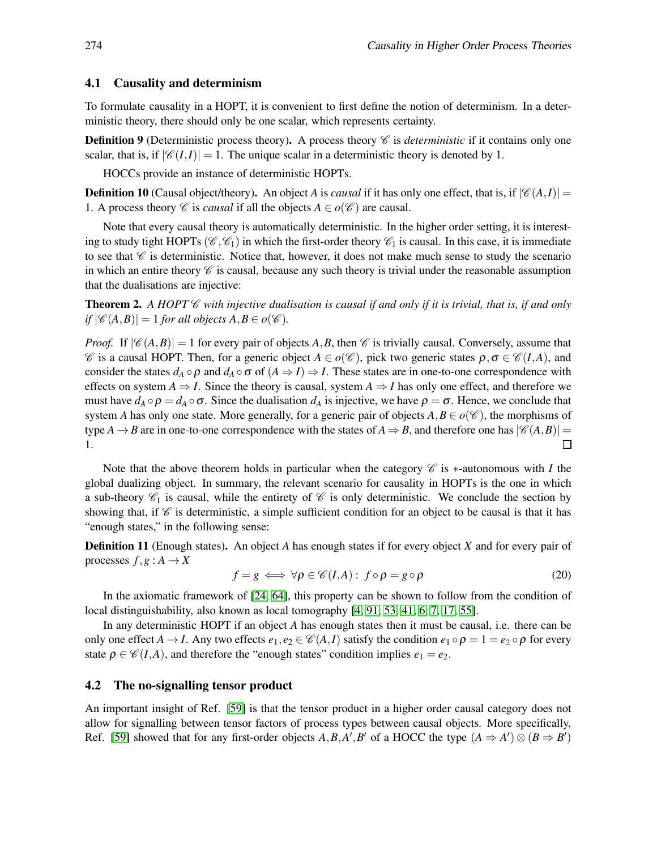#### 4.1 Causality and determinism

To formulate causality in a HOPT, it is convenient to first define the notion of determinism. In a deterministic theory, there should only be one scalar, which represents certainty.

**Definition 9** (Deterministic process theory). A process theory  $\mathscr C$  is *deterministic* if it contains only one scalar, that is, if  $|\mathcal{C}(I,I)| = 1$ . The unique scalar in a deterministic theory is denoted by 1.

HOCCs provide an instance of deterministic HOPTs.

**Definition 10** (Causal object/theory). An object *A* is *causal* if it has only one effect, that is, if  $|\mathscr{C}(A,I)| =$ 1. A process theory *C* is *causal* if all the objects  $A \in o(\mathcal{C})$  are causal.

Note that every causal theory is automatically deterministic. In the higher order setting, it is interesting to study tight HOPTs ( $\mathcal{C}, \mathcal{C}_1$ ) in which the first-order theory  $\mathcal{C}_1$  is causal. In this case, it is immediate to see that  $\mathscr C$  is deterministic. Notice that, however, it does not make much sense to study the scenario in which an entire theory  $\mathscr C$  is causal, because any such theory is trivial under the reasonable assumption that the dualisations are injective:

Theorem 2. *A HOPT* C *with injective dualisation is causal if and only if it is trivial, that is, if and only*  $if |\mathscr{C}(A, B)| = 1$  *for all objects*  $A, B \in o(\mathscr{C})$ *.* 

*Proof.* If  $|\mathcal{C}(A, B)| = 1$  for every pair of objects A, B, then  $\mathcal{C}$  is trivially causal. Conversely, assume that  $\mathscr C$  is a causal HOPT. Then, for a generic object  $A \in o(\mathscr C)$ , pick two generic states  $\rho, \sigma \in \mathscr C(I,A)$ , and consider the states  $d_A \circ \rho$  and  $d_A \circ \sigma$  of  $(A \Rightarrow I) \Rightarrow I$ . These states are in one-to-one correspondence with effects on system  $A \Rightarrow I$ . Since the theory is causal, system  $A \Rightarrow I$  has only one effect, and therefore we must have  $d_A \circ \rho = d_A \circ \sigma$ . Since the dualisation  $d_A$  is injective, we have  $\rho = \sigma$ . Hence, we conclude that system *A* has only one state. More generally, for a generic pair of objects  $A, B \in o(\mathscr{C})$ , the morphisms of type *A* → *B* are in one-to-one correspondence with the states of *A*  $\Rightarrow$  *B*, and therefore one has  $|C(A, B)| = 1$ . 1.

Note that the above theorem holds in particular when the category  $\mathscr C$  is  $*$ -autonomous with *I* the global dualizing object. In summary, the relevant scenario for causality in HOPTs is the one in which a sub-theory  $\mathcal{C}_1$  is causal, while the entirety of  $\mathcal C$  is only deterministic. We conclude the section by showing that, if  $\mathscr C$  is deterministic, a simple sufficient condition for an object to be causal is that it has "enough states," in the following sense:

Definition 11 (Enough states). An object *A* has enough states if for every object *X* and for every pair of processes  $f, g: A \rightarrow X$ 

$$
f = g \iff \forall \rho \in \mathcal{C}(I, A): f \circ \rho = g \circ \rho \tag{20}
$$

In the axiomatic framework of [\[24,](#page-16-16) [64\]](#page-18-15), this property can be shown to follow from the condition of local distinguishability, also known as local tomography [\[4,](#page-15-8) [91,](#page-20-10) [53,](#page-18-16) [41,](#page-17-16) [6,](#page-15-9) [7,](#page-15-10) [17,](#page-16-13) [55\]](#page-18-17).

In any deterministic HOPT if an object *A* has enough states then it must be causal, i.e. there can be only one effect  $A \to I$ . Any two effects  $e_1, e_2 \in \mathcal{C}(A, I)$  satisfy the condition  $e_1 \circ \rho = 1 = e_2 \circ \rho$  for every state  $\rho \in \mathcal{C}(I,A)$ , and therefore the "enough states" condition implies  $e_1 = e_2$ .

#### <span id="page-9-0"></span>4.2 The no-signalling tensor product

An important insight of Ref. [\[59\]](#page-18-10) is that the tensor product in a higher order causal category does not allow for signalling between tensor factors of process types between causal objects. More specifically, Ref. [\[59\]](#page-18-10) showed that for any first-order objects  $A, B, A', B'$  of a HOCC the type  $(A \Rightarrow A') \otimes (B \Rightarrow B')$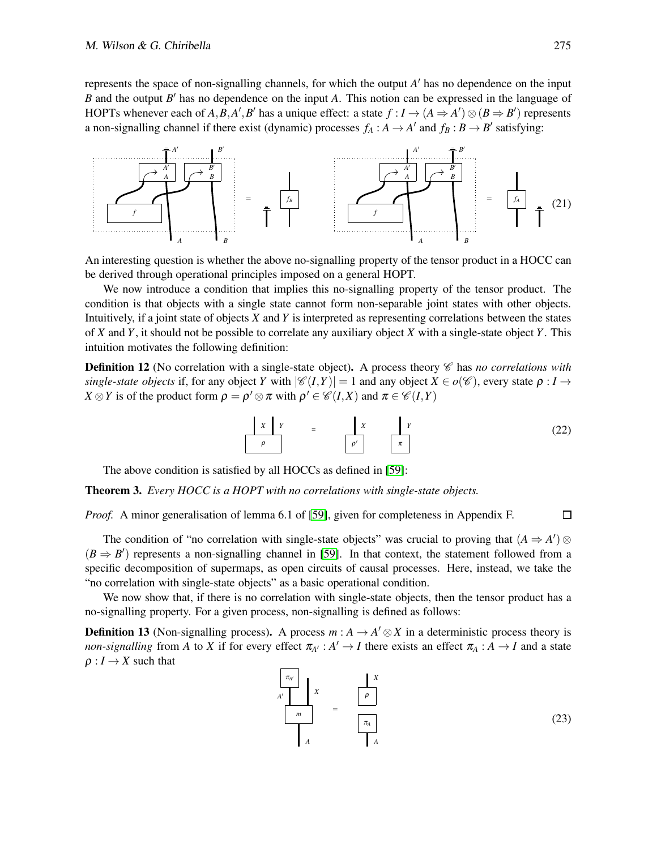represents the space of non-signalling channels, for which the output *A* ′ has no dependence on the input *B* and the output *B* ′ has no dependence on the input *A*. This notion can be expressed in the language of HOPTs whenever each of *A*, *B*, *A'*, *B'* has a unique effect: a state  $f : I \rightarrow (A \Rightarrow A') \otimes (B \Rightarrow B')$  represents a non-signalling channel if there exist (dynamic) processes  $f_A : A \to A'$  and  $f_B : B \to B'$  satisfying:



An interesting question is whether the above no-signalling property of the tensor product in a HOCC can be derived through operational principles imposed on a general HOPT.

We now introduce a condition that implies this no-signalling property of the tensor product. The condition is that objects with a single state cannot form non-separable joint states with other objects. Intuitively, if a joint state of objects *X* and *Y* is interpreted as representing correlations between the states of *X* and *Y*, it should not be possible to correlate any auxiliary object *X* with a single-state object *Y*. This intuition motivates the following definition:

**Definition 12** (No correlation with a single-state object). A process theory  $\mathscr{C}$  has *no correlations with single-state objects* if, for any object *Y* with  $|\mathscr{C}(I,Y)| = 1$  and any object  $X \in o(\mathscr{C})$ , every state  $\rho: I \to I$ *X*  $\otimes$ *Y* is of the product form  $\rho = \rho' \otimes \pi$  with  $\rho' \in \mathcal{C}(I,X)$  and  $\pi \in \mathcal{C}(I,Y)$ 

$$
\begin{array}{|c|c|c|c|c|}\n\hline\n x & y & = & x & y \\
\hline\n \rho & & x & x \\
\hline\n\end{array}
$$
\n
$$
(22)
$$

The above condition is satisfied by all HOCCs as defined in [\[59\]](#page-18-10):

Theorem 3. *Every HOCC is a HOPT with no correlations with single-state objects.*

*Proof.* A minor generalisation of lemma 6.1 of [\[59\]](#page-18-10), given for completeness in Appendix F.

The condition of "no correlation with single-state objects" was crucial to proving that  $(A \Rightarrow A')$  $(B \Rightarrow B')$  represents a non-signalling channel in [\[59\]](#page-18-10). In that context, the statement followed from a specific decomposition of supermaps, as open circuits of causal processes. Here, instead, we take the "no correlation with single-state objects" as a basic operational condition.

We now show that, if there is no correlation with single-state objects, then the tensor product has a no-signalling property. For a given process, non-signalling is defined as follows:

**Definition 13** (Non-signalling process). A process  $m : A \to A' \otimes X$  in a deterministic process theory is *non-signalling* from *A* to *X* if for every effect  $\pi_{A'} : A' \to I$  there exists an effect  $\pi_A : A \to I$  and a state  $\rho: I \to X$  such that

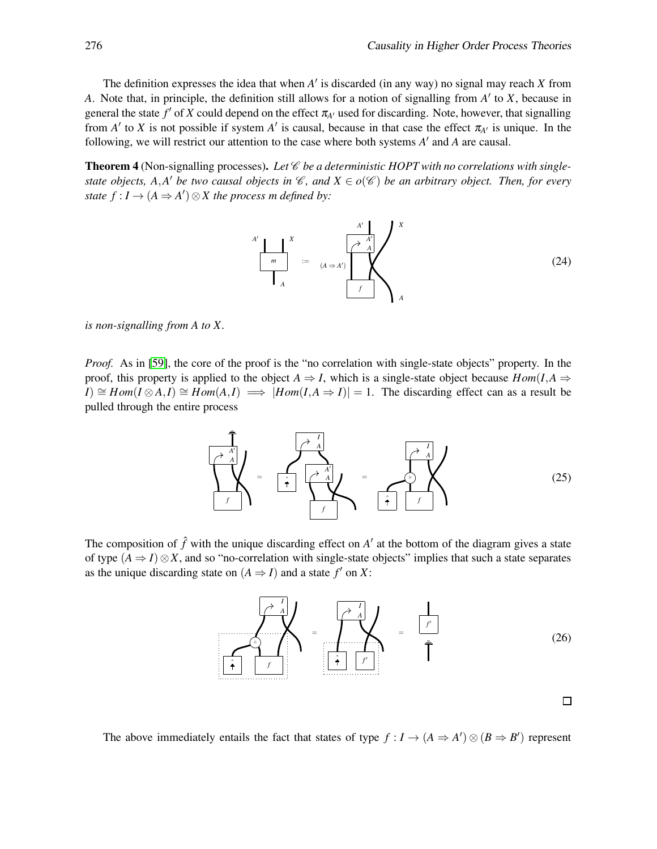The definition expresses the idea that when *A* ′ is discarded (in any way) no signal may reach *X* from *A*. Note that, in principle, the definition still allows for a notion of signalling from *A* ′ to *X*, because in general the state  $f'$  of  $X$  could depend on the effect  $\pi_{A'}$  used for discarding. Note, however, that signalling from  $A'$  to  $X$  is not possible if system  $A'$  is causal, because in that case the effect  $\pi_{A'}$  is unique. In the following, we will restrict our attention to the case where both systems *A* ′ and *A* are causal.

Theorem 4 (Non-signalling processes). Let *C* be a deterministic HOPT with no correlations with single*state objects, A,A' be two causal objects in*  $\mathscr{C}$ *, and*  $X \in o(\mathscr{C})$  *be an arbitrary object. Then, for every state*  $f: I \to (A \Rightarrow A') \otimes X$  *the process m defined by:* 

*f A A* ′ *m* := *X X A A A* ′ *A* ′  $(A \Rightarrow A')$ (24)

*is non-signalling from A to X.*

*Proof.* As in [\[59\]](#page-18-10), the core of the proof is the "no correlation with single-state objects" property. In the proof, this property is applied to the object  $A \Rightarrow I$ , which is a single-state object because  $Hom(I, A \Rightarrow I)$ *I*)  $\cong$  *Hom*(*I*⊗*A*,*I*)  $\cong$  *Hom*(*A*,*I*)  $\implies$  |*Hom*(*I*,*A*  $\Rightarrow$  *I*)| = 1. The discarding effect can as a result be pulled through the entire process

$$
\left(\begin{array}{c}\n\overrightarrow{A} \\
\overrightarrow{A} \\
\overrightarrow{A}\n\end{array}\right) = \left(\begin{array}{c}\n\overrightarrow{A} \\
\overrightarrow{A} \\
\overrightarrow{A}\n\end{array}\right) = \left(\begin{array}{c}\n\overrightarrow{A} \\
\overrightarrow{A} \\
\overrightarrow{A}\n\end{array}\right) \tag{25}
$$

The composition of  $\hat{f}$  with the unique discarding effect on  $A'$  at the bottom of the diagram gives a state of type  $(A \Rightarrow I) \otimes X$ , and so "no-correlation with single-state objects" implies that such a state separates as the unique discarding state on  $(A \Rightarrow I)$  and a state  $f'$  on X:



The above immediately entails the fact that states of type  $f: I \to (A \Rightarrow A') \otimes (B \Rightarrow B')$  represent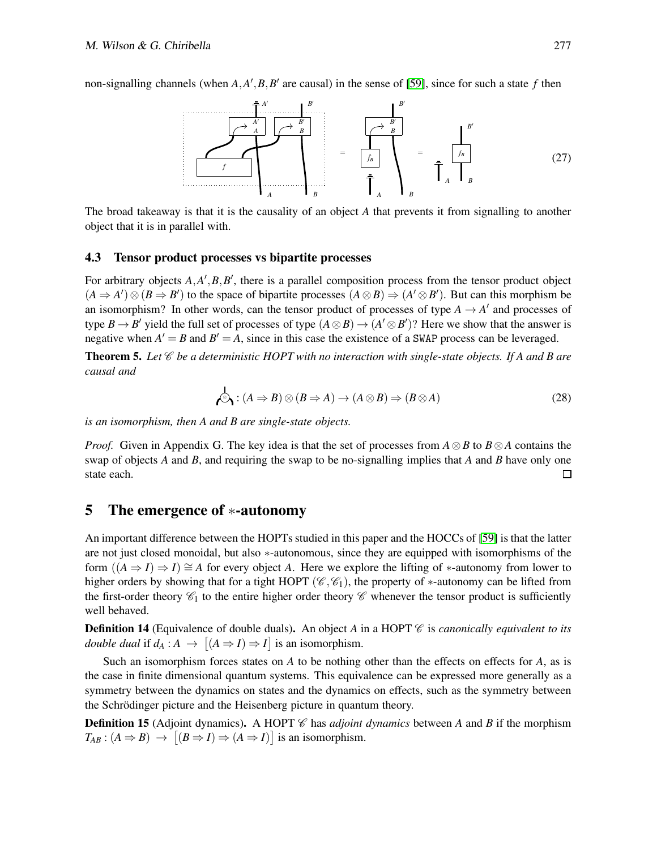non-signalling channels (when  $A$ , $A'$ , $B$ , $B'$  are causal) in the sense of [\[59\]](#page-18-10), since for such a state  $f$  then



The broad takeaway is that it is the causality of an object *A* that prevents it from signalling to another object that it is in parallel with.

#### 4.3 Tensor product processes vs bipartite processes

For arbitrary objects  $A, A', B, B'$ , there is a parallel composition process from the tensor product object  $(A \Rightarrow A') \otimes (B \Rightarrow B')$  to the space of bipartite processes  $(A \otimes B) \Rightarrow (A' \otimes B')$ . But can this morphism be an isomorphism? In other words, can the tensor product of processes of type  $A \rightarrow A'$  and processes of type  $B \to B'$  yield the full set of processes of type  $(A \otimes B) \to (A' \otimes B')$ ? Here we show that the answer is negative when  $A' = B$  and  $B' = A$ , since in this case the existence of a SWAP process can be leveraged.

Theorem 5. *Let* C *be a deterministic HOPT with no interaction with single-state objects. If A and B are causal and*

$$
\mathcal{A} : (A \Rightarrow B) \otimes (B \Rightarrow A) \to (A \otimes B) \Rightarrow (B \otimes A)
$$
 (28)

*is an isomorphism, then A and B are single-state objects.*

*Proof.* Given in Appendix G. The key idea is that the set of processes from *A*⊗*B* to *B*⊗*A* contains the swap of objects *A* and *B*, and requiring the swap to be no-signalling implies that *A* and *B* have only one state each.  $\Box$ 

# 5 The emergence of ∗-autonomy

An important difference between the HOPTs studied in this paper and the HOCCs of [\[59\]](#page-18-10) is that the latter are not just closed monoidal, but also ∗-autonomous, since they are equipped with isomorphisms of the form  $((A \Rightarrow I) \Rightarrow I) \cong A$  for every object A. Here we explore the lifting of \*-autonomy from lower to higher orders by showing that for a tight HOPT ( $\mathcal{C}, \mathcal{C}_1$ ), the property of \*-autonomy can be lifted from the first-order theory  $\mathscr{C}_1$  to the entire higher order theory  $\mathscr{C}$  whenever the tensor product is sufficiently well behaved.

**Definition 14** (Equivalence of double duals). An object *A* in a HOPT  $\mathscr C$  is *canonically equivalent to its double dual* if  $d_A : A \to [(A \Rightarrow I) \Rightarrow I]$  is an isomorphism.

Such an isomorphism forces states on *A* to be nothing other than the effects on effects for *A*, as is the case in finite dimensional quantum systems. This equivalence can be expressed more generally as a symmetry between the dynamics on states and the dynamics on effects, such as the symmetry between the Schrödinger picture and the Heisenberg picture in quantum theory.

**Definition 15** (Adjoint dynamics). A HOPT  $\mathcal{C}$  has *adjoint dynamics* between *A* and *B* if the morphism  $T_{AB}$ :  $(A \Rightarrow B) \rightarrow [(B \Rightarrow I) \Rightarrow (A \Rightarrow I)]$  is an isomorphism.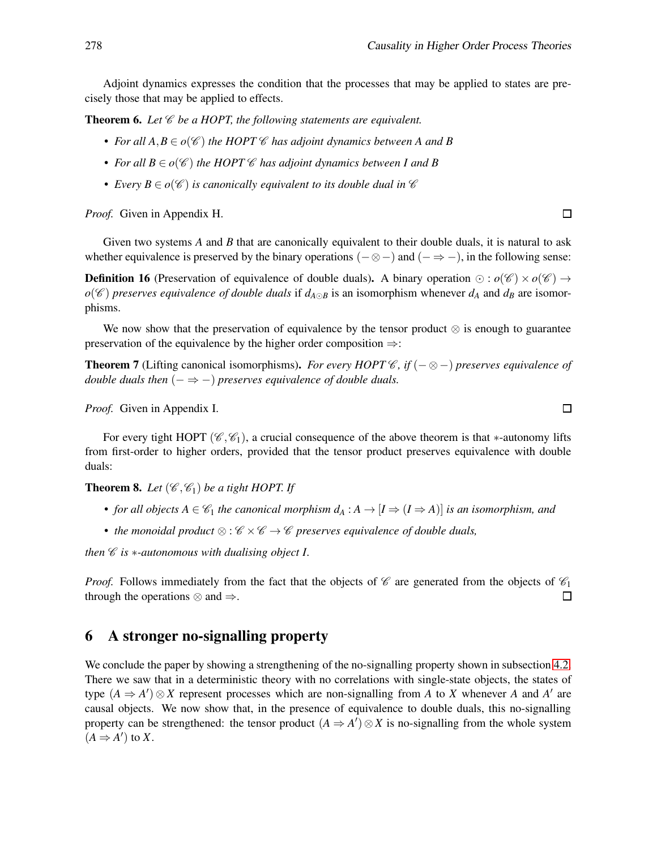Adjoint dynamics expresses the condition that the processes that may be applied to states are precisely those that may be applied to effects.

**Theorem 6.** Let  $\mathscr C$  be a HOPT, the following statements are equivalent.

- For all  $A, B \in o(\mathscr{C})$  the HOPT  $\mathscr{C}$  has adjoint dynamics between A and B
- *For all*  $B \in o(\mathscr{C})$  *the HOPT*  $\mathscr C$  *has adjoint dynamics between I and*  $B$
- Every  $B \in o(\mathscr{C})$  *is canonically equivalent to its double dual in*  $\mathscr{C}$

*Proof.* Given in Appendix H.

Given two systems *A* and *B* that are canonically equivalent to their double duals, it is natural to ask whether equivalence is preserved by the binary operations ( $-\otimes$ ) and ( $-\Rightarrow$ ), in the following sense:

**Definition 16** (Preservation of equivalence of double duals). A binary operation ⊙ :  $o(\mathscr{C}) \times o(\mathscr{C}) \rightarrow$ *o*( $\mathscr{C}$ ) *preserves equivalence of double duals* if *d*<sub>*A*⊙</sub>*B* is an isomorphism whenever *d*<sub>*A*</sub> and *d<sub>B</sub>* are isomorphisms.

We now show that the preservation of equivalence by the tensor product ⊗ is enough to guarantee preservation of the equivalence by the higher order composition ⇒:

**Theorem 7** (Lifting canonical isomorphisms). *For every HOPT*  $\mathscr{C}$ *, if* ( $-\otimes$ ) *preserves equivalence of double duals then*  $(- \Rightarrow -)$  *preserves equivalence of double duals.* 

*Proof.* Given in Appendix I.

For every tight HOPT ( $\mathcal{C}, \mathcal{C}_1$ ), a crucial consequence of the above theorem is that ∗-autonomy lifts from first-order to higher orders, provided that the tensor product preserves equivalence with double duals:

**Theorem 8.** Let  $(\mathscr{C}, \mathscr{C}_1)$  be a tight HOPT. If

- *for all objects*  $A \in \mathcal{C}_1$  *the canonical morphism*  $d_A : A \to [I \Rightarrow (I \Rightarrow A)]$  *is an isomorphism, and*
- *the monoidal product* ⊗ : C ×C → C *preserves equivalence of double duals,*

*then*  $\mathscr C$  *is*  $*$ -*autonomous with dualising object I.* 

*Proof.* Follows immediately from the fact that the objects of  $\mathscr C$  are generated from the objects of  $\mathscr C_1$ through the operations  $\otimes$  and  $\Rightarrow$ .  $\Box$ 

### 6 A stronger no-signalling property

We conclude the paper by showing a strengthening of the no-signalling property shown in subsection [4.2.](#page-9-0) There we saw that in a deterministic theory with no correlations with single-state objects, the states of type  $(A \Rightarrow A') \otimes X$  represent processes which are non-signalling from *A* to *X* whenever *A* and *A'* are causal objects. We now show that, in the presence of equivalence to double duals, this no-signalling property can be strengthened: the tensor product  $(A \Rightarrow A') \otimes X$  is no-signalling from the whole system  $(A \Rightarrow A')$  to *X*.

 $\Box$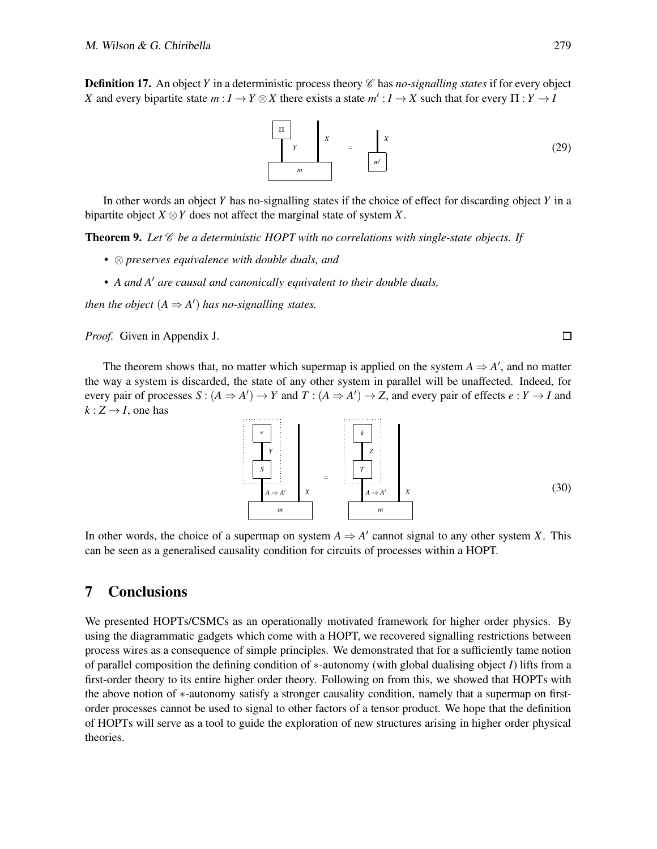**Definition 17.** An object *Y* in a deterministic process theory  $\mathscr{C}$  has *no-signalling states* if for every object *X* and every bipartite state  $m: I \to Y \otimes X$  there exists a state  $m': I \to X$  such that for every  $\Pi: Y \to I$ 



In other words an object *Y* has no-signalling states if the choice of effect for discarding object *Y* in a bipartite object  $X \otimes Y$  does not affect the marginal state of system X.

**Theorem 9.** Let  $\mathscr{C}$  be a deterministic HOPT with no correlations with single-state objects. If

- ⊗ *preserves equivalence with double duals, and*
- *A and A*′ *are causal and canonically equivalent to their double duals,*

*then the object*  $(A \Rightarrow A')$  *has no-signalling states.* 

*Proof.* Given in Appendix J.

The theorem shows that, no matter which supermap is applied on the system  $A \Rightarrow A'$ , and no matter the way a system is discarded, the state of any other system in parallel will be unaffected. Indeed, for every pair of processes  $S : (A \Rightarrow A') \rightarrow Y$  and  $T : (A \Rightarrow A') \rightarrow Z$ , and every pair of effects  $e : Y \rightarrow I$  and  $k: Z \rightarrow I$ , one has

$$
\begin{array}{|c|c|c|}\n\hline\ne \\
\hline\nY \\
S \\
\hline\nA \Rightarrow A' \\
\hline\n\end{array}\n\qquad\n\begin{array}{|c|c|}\n\hline\nk \\
\hline\nZ \\
Z \\
\hline\n\end{array}
$$
\n
$$
\begin{array}{|c|c|}\n\hline\n\end{array}
$$
\n
$$
\begin{array}{|c|c|}\n\hline\n\end{array}
$$
\n
$$
\begin{array}{|c|c|}\n\hline\n\end{array}
$$
\n
$$
\begin{array}{|c|c|}\n\hline\n\end{array}
$$
\n
$$
\begin{array}{|c|c|}\n\hline\n\end{array}
$$
\n
$$
\begin{array}{|c|c|}\n\hline\n\end{array}
$$
\n
$$
\begin{array}{|c|c|}\n\hline\n\end{array}
$$
\n
$$
\begin{array}{|c|c|}\n\hline\n\end{array}
$$
\n
$$
\begin{array}{|c|c|}\n\hline\n\end{array}
$$
\n
$$
\begin{array}{|c|c|}\n\hline\n\end{array}
$$
\n
$$
\begin{array}{|c|c|}\n\hline\n\end{array}
$$
\n
$$
\begin{array}{|c|c|}\n\hline\n\end{array}
$$
\n
$$
\begin{array}{|c|c|}\n\hline\n\end{array}
$$
\n
$$
\begin{array}{|c|c|}\n\hline\n\end{array}
$$
\n
$$
\begin{array}{|c|c|}\n\hline\n\end{array}
$$
\n
$$
\begin{array}{|c|c|}\n\hline\n\end{array}
$$
\n
$$
\begin{array}{|c|c|}\n\hline\n\end{array}
$$
\n
$$
\begin{array}{|c|c|}\n\hline\n\end{array}
$$
\n
$$
\begin{array}{|c|c|}\n\hline\n\end{array}
$$
\n
$$
\begin{array}{|c|c|}\n\hline\n\end{array}
$$
\n
$$
\begin{array}{|c|c|}\n\hline\n\end{array}
$$
\n
$$
\begin{array}{|c|c|}\n\hline\n\end{array}
$$
\n
$$
\begin{array}{|c|c|}\n\hline\n\end{array}
$$
\n $$ 

In other words, the choice of a supermap on system  $A \Rightarrow A'$  cannot signal to any other system *X*. This can be seen as a generalised causality condition for circuits of processes within a HOPT.

# 7 Conclusions

We presented HOPTs/CSMCs as an operationally motivated framework for higher order physics. By using the diagrammatic gadgets which come with a HOPT, we recovered signalling restrictions between process wires as a consequence of simple principles. We demonstrated that for a sufficiently tame notion of parallel composition the defining condition of ∗-autonomy (with global dualising object *I*) lifts from a first-order theory to its entire higher order theory. Following on from this, we showed that HOPTs with the above notion of ∗-autonomy satisfy a stronger causality condition, namely that a supermap on firstorder processes cannot be used to signal to other factors of a tensor product. We hope that the definition of HOPTs will serve as a tool to guide the exploration of new structures arising in higher order physical theories.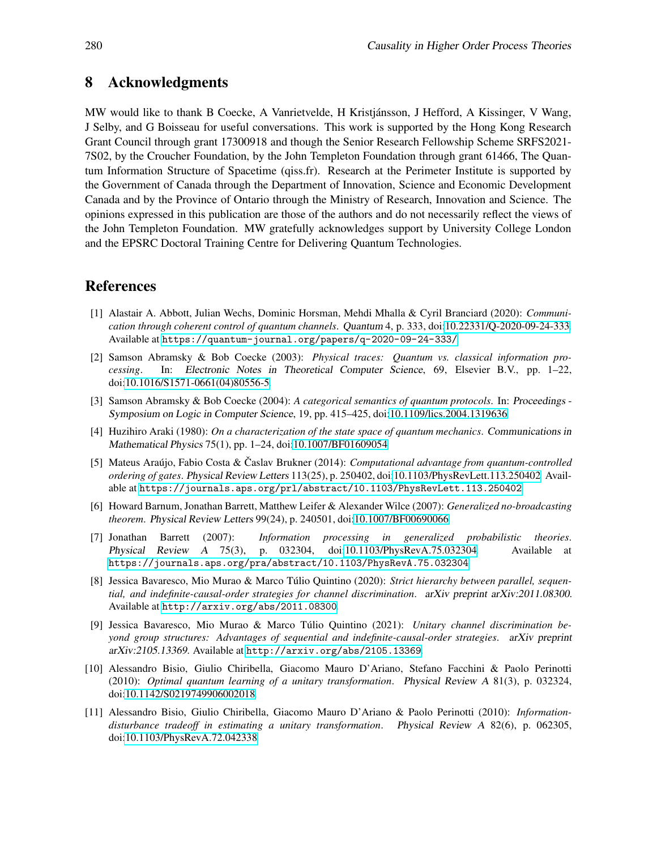### 8 Acknowledgments

MW would like to thank B Coecke, A Vanrietvelde, H Kristjánsson, J Hefford, A Kissinger, V Wang, J Selby, and G Boisseau for useful conversations. This work is supported by the Hong Kong Research Grant Council through grant 17300918 and though the Senior Research Fellowship Scheme SRFS2021- 7S02, by the Croucher Foundation, by the John Templeton Foundation through grant 61466, The Quantum Information Structure of Spacetime (qiss.fr). Research at the Perimeter Institute is supported by the Government of Canada through the Department of Innovation, Science and Economic Development Canada and by the Province of Ontario through the Ministry of Research, Innovation and Science. The opinions expressed in this publication are those of the authors and do not necessarily reflect the views of the John Templeton Foundation. MW gratefully acknowledges support by University College London and the EPSRC Doctoral Training Centre for Delivering Quantum Technologies.

### <span id="page-15-3"></span>References

- [1] Alastair A. Abbott, Julian Wechs, Dominic Horsman, Mehdi Mhalla & Cyril Branciard (2020): *Communication through coherent control of quantum channels*. Quantum 4, p. 333, doi[:10.22331/Q-2020-09-24-333.](http://dx.doi.org/10.22331/Q-2020-09-24-333) Available at <https://quantum-journal.org/papers/q-2020-09-24-333/>.
- <span id="page-15-7"></span>[2] Samson Abramsky & Bob Coecke (2003): *Physical traces: Quantum vs. classical information processing*. In: Electronic Notes in Theoretical Computer Science, 69, Elsevier B.V., pp. 1–22, doi[:10.1016/S1571-0661\(04\)80556-5.](http://dx.doi.org/10.1016/S1571-0661(04)80556-5)
- <span id="page-15-6"></span>[3] Samson Abramsky & Bob Coecke (2004): *A categorical semantics of quantum protocols*. In: Proceedings - Symposium on Logic in Computer Science, 19, pp. 415–425, doi[:10.1109/lics.2004.1319636.](http://dx.doi.org/10.1109/lics.2004.1319636)
- <span id="page-15-8"></span>[4] Huzihiro Araki (1980): *On a characterization of the state space of quantum mechanics*. Communications in Mathematical Physics 75(1), pp. 1–24, doi[:10.1007/BF01609054.](http://dx.doi.org/10.1007/BF01609054)
- <span id="page-15-2"></span>[5] Mateus Araújo, Fabio Costa & Časlav Brukner (2014): *Computational advantage from quantum-controlled ordering of gates*. Physical Review Letters 113(25), p. 250402, doi[:10.1103/PhysRevLett.113.250402.](http://dx.doi.org/10.1103/PhysRevLett.113.250402) Available at <https://journals.aps.org/prl/abstract/10.1103/PhysRevLett.113.250402>.
- <span id="page-15-9"></span>[6] Howard Barnum, Jonathan Barrett, Matthew Leifer & Alexander Wilce (2007): *Generalized no-broadcasting theorem*. Physical Review Letters 99(24), p. 240501, doi[:10.1007/BF00690066.](http://dx.doi.org/10.1007/BF00690066)
- <span id="page-15-10"></span>[7] Jonathan Barrett (2007): *Information processing in generalized probabilistic theories*. Physical Review <sup>A</sup> 75(3), p. 032304, doi[:10.1103/PhysRevA.75.032304.](http://dx.doi.org/10.1103/PhysRevA.75.032304) Available at <https://journals.aps.org/pra/abstract/10.1103/PhysRevA.75.032304>.
- <span id="page-15-4"></span>[8] Jessica Bavaresco, Mio Murao & Marco Túlio Quintino (2020): *Strict hierarchy between parallel, sequential, and indefinite-causal-order strategies for channel discrimination*. arXiv preprint arXiv:2011.08300. Available at <http://arxiv.org/abs/2011.08300>.
- <span id="page-15-5"></span>[9] Jessica Bavaresco, Mio Murao & Marco Túlio Quintino (2021): *Unitary channel discrimination beyond group structures: Advantages of sequential and indefinite-causal-order strategies*. arXiv preprint arXiv:2105.13369. Available at <http://arxiv.org/abs/2105.13369>.
- <span id="page-15-0"></span>[10] Alessandro Bisio, Giulio Chiribella, Giacomo Mauro D'Ariano, Stefano Facchini & Paolo Perinotti (2010): *Optimal quantum learning of a unitary transformation*. Physical Review <sup>A</sup> 81(3), p. 032324, doi[:10.1142/S0219749906002018.](http://dx.doi.org/10.1142/S0219749906002018)
- <span id="page-15-1"></span>[11] Alessandro Bisio, Giulio Chiribella, Giacomo Mauro D'Ariano & Paolo Perinotti (2010): *Informationdisturbance tradeoff in estimating a unitary transformation*. Physical Review <sup>A</sup> 82(6), p. 062305, doi[:10.1103/PhysRevA.72.042338.](http://dx.doi.org/10.1103/PhysRevA.72.042338)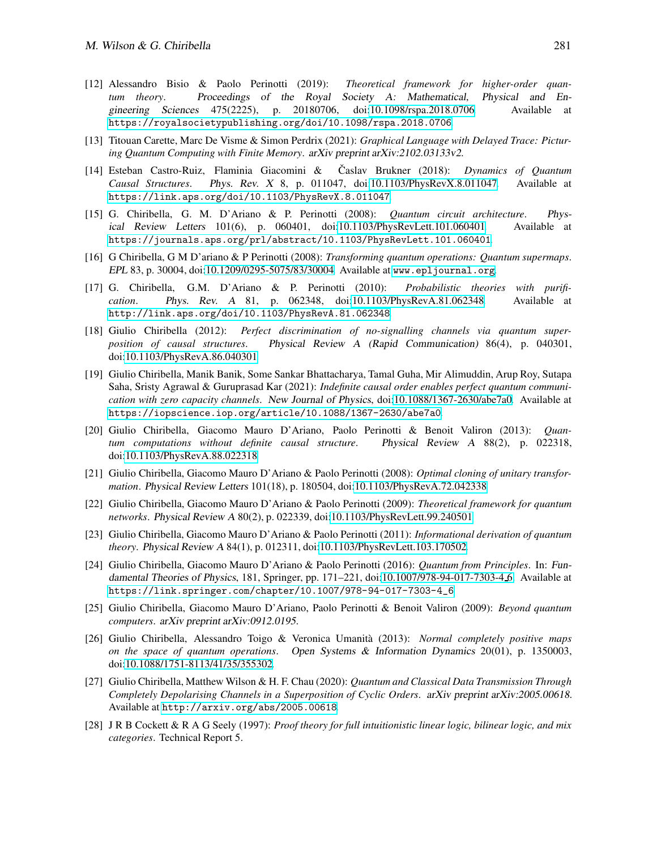- <span id="page-16-5"></span>[12] Alessandro Bisio & Paolo Perinotti (2019): *Theoretical framework for higher-order quantum theory*. Proceedings of the Royal Society A: Mathematical, Physical and Engineering Sciences 475(2225), p. 20180706, doi[:10.1098/rspa.2018.0706.](http://dx.doi.org/10.1098/rspa.2018.0706) Available at <https://royalsocietypublishing.org/doi/10.1098/rspa.2018.0706>.
- <span id="page-16-12"></span>[13] Titouan Carette, Marc De Visme & Simon Perdrix (2021): *Graphical Language with Delayed Trace: Picturing Quantum Computing with Finite Memory*. arXiv preprint arXiv:2102.03133v2.
- <span id="page-16-11"></span>[14] Esteban Castro-Ruiz, Flaminia Giacomini & Caslav Brukner (2018): *Dynamics of Quantum Causal Structures*. Phys. Rev. <sup>X</sup> 8, p. 011047, doi[:10.1103/PhysRevX.8.011047.](http://dx.doi.org/10.1103/PhysRevX.8.011047) Available at <https://link.aps.org/doi/10.1103/PhysRevX.8.011047>.
- <span id="page-16-0"></span>[15] G. Chiribella, G. M. D'Ariano & P. Perinotti (2008): *Quantum circuit architecture*. Physical Review Letters 101(6), p. 060401, doi[:10.1103/PhysRevLett.101.060401.](http://dx.doi.org/10.1103/PhysRevLett.101.060401) Available at <https://journals.aps.org/prl/abstract/10.1103/PhysRevLett.101.060401>.
- <span id="page-16-1"></span>[16] G Chiribella, G M D'ariano & P Perinotti (2008): *Transforming quantum operations: Quantum supermaps*. EPL 83, p. 30004, doi[:10.1209/0295-5075/83/30004.](http://dx.doi.org/10.1209/0295-5075/83/30004) Available at <www.epljournal.org>.
- <span id="page-16-13"></span>[17] G. Chiribella, G.M. D'Ariano & P. Perinotti (2010): *Probabilistic theories with purification*. Phys. Rev. <sup>A</sup> 81, p. 062348, doi[:10.1103/PhysRevA.81.062348.](http://dx.doi.org/10.1103/PhysRevA.81.062348) Available at <http://link.aps.org/doi/10.1103/PhysRevA.81.062348>.
- <span id="page-16-8"></span>[18] Giulio Chiribella (2012): *Perfect discrimination of no-signalling channels via quantum superposition of causal structures*. Physical Review <sup>A</sup> (Rapid Communication) 86(4), p. 040301, doi[:10.1103/PhysRevA.86.040301.](http://dx.doi.org/10.1103/PhysRevA.86.040301)
- <span id="page-16-7"></span>[19] Giulio Chiribella, Manik Banik, Some Sankar Bhattacharya, Tamal Guha, Mir Alimuddin, Arup Roy, Sutapa Saha, Sristy Agrawal & Guruprasad Kar (2021): *Indefinite causal order enables perfect quantum communication with zero capacity channels*. New Journal of Physics, doi[:10.1088/1367-2630/abe7a0.](http://dx.doi.org/10.1088/1367-2630/abe7a0) Available at <https://iopscience.iop.org/article/10.1088/1367-2630/abe7a0>.
- <span id="page-16-3"></span>[20] Giulio Chiribella, Giacomo Mauro D'Ariano, Paolo Perinotti & Benoit Valiron (2013): *Quantum computations without definite causal structure*. Physical Review <sup>A</sup> 88(2), p. 022318, doi[:10.1103/PhysRevA.88.022318.](http://dx.doi.org/10.1103/PhysRevA.88.022318)
- <span id="page-16-6"></span>[21] Giulio Chiribella, Giacomo Mauro D'Ariano & Paolo Perinotti (2008): *Optimal cloning of unitary transformation*. Physical Review Letters 101(18), p. 180504, doi[:10.1103/PhysRevA.72.042338.](http://dx.doi.org/10.1103/PhysRevA.72.042338)
- <span id="page-16-2"></span>[22] Giulio Chiribella, Giacomo Mauro D'Ariano & Paolo Perinotti (2009): *Theoretical framework for quantum networks*. Physical Review <sup>A</sup> 80(2), p. 022339, doi[:10.1103/PhysRevLett.99.240501.](http://dx.doi.org/10.1103/PhysRevLett.99.240501)
- <span id="page-16-14"></span>[23] Giulio Chiribella, Giacomo Mauro D'Ariano & Paolo Perinotti (2011): *Informational derivation of quantum theory*. Physical Review <sup>A</sup> 84(1), p. 012311, doi[:10.1103/PhysRevLett.103.170502.](http://dx.doi.org/10.1103/PhysRevLett.103.170502)
- <span id="page-16-16"></span>[24] Giulio Chiribella, Giacomo Mauro D'Ariano & Paolo Perinotti (2016): *Quantum from Principles*. In: Fundamental Theories of Physics, 181, Springer, pp. 171–221, doi[:10.1007/978-94-017-7303-4](http://dx.doi.org/10.1007/978-94-017-7303-4{_}6) 6. Available at [https://link.springer.com/chapter/10.1007/978-94-017-7303-4\\_6](https://link.springer.com/chapter/10.1007/978-94-017-7303-4_6).
- <span id="page-16-10"></span>[25] Giulio Chiribella, Giacomo Mauro D'Ariano, Paolo Perinotti & Benoit Valiron (2009): *Beyond quantum computers*. arXiv preprint arXiv:0912.0195.
- <span id="page-16-4"></span>[26] Giulio Chiribella, Alessandro Toigo & Veronica Umanit`a (2013): *Normal completely positive maps on the space of quantum operations*. Open Systems & Information Dynamics 20(01), p. 1350003, doi[:10.1088/1751-8113/41/35/355302.](http://dx.doi.org/10.1088/1751-8113/41/35/355302)
- <span id="page-16-9"></span>[27] Giulio Chiribella, Matthew Wilson & H. F. Chau (2020): *Quantum and Classical Data Transmission Through Completely Depolarising Channels in a Superposition of Cyclic Orders*. arXiv preprint arXiv:2005.00618. Available at <http://arxiv.org/abs/2005.00618>.
- <span id="page-16-15"></span>[28] J R B Cockett & R A G Seely (1997): *Proof theory for full intuitionistic linear logic, bilinear logic, and mix categories*. Technical Report 5.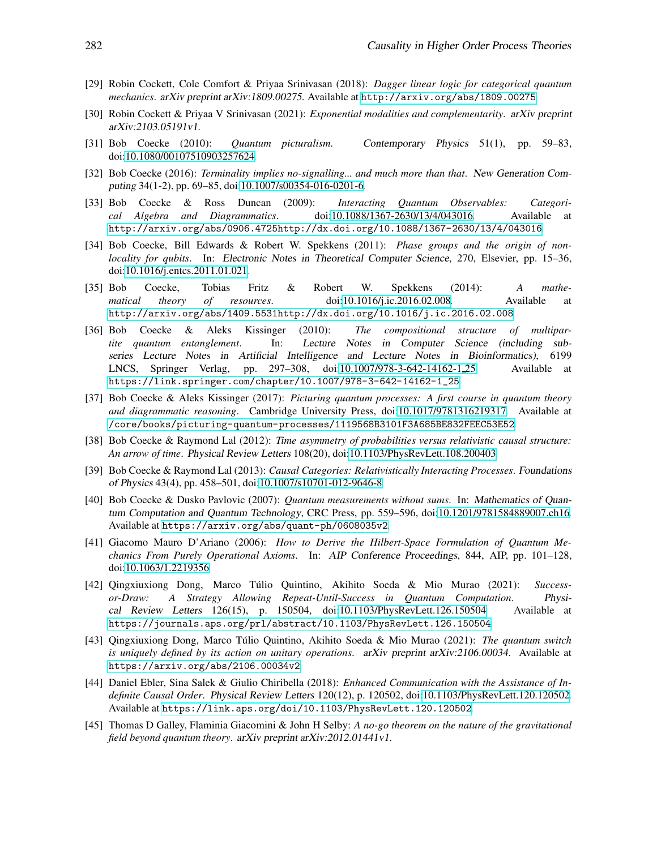- <span id="page-17-14"></span>[29] Robin Cockett, Cole Comfort & Priyaa Srinivasan (2018): *Dagger linear logic for categorical quantum mechanics*. arXiv preprint arXiv:1809.00275. Available at <http://arxiv.org/abs/1809.00275>.
- <span id="page-17-15"></span><span id="page-17-5"></span>[30] Robin Cockett & Priyaa V Srinivasan (2021): *Exponential modalities and complementarity*. arXiv preprint arXiv:2103.05191v1.
- <span id="page-17-13"></span>[31] Bob Coecke (2010): *Quantum picturalism*. Contemporary Physics 51(1), pp. 59–83, doi[:10.1080/00107510903257624.](http://dx.doi.org/10.1080/00107510903257624)
- [32] Bob Coecke (2016): *Terminality implies no-signalling... and much more than that*. New Generation Computing 34(1-2), pp. 69–85, doi[:10.1007/s00354-016-0201-6.](http://dx.doi.org/10.1007/s00354-016-0201-6)
- <span id="page-17-8"></span>[33] Bob Coecke & Ross Duncan (2009): *Interacting Quantum Observables: Categorical Algebra and Diagrammatics*. doi[:10.1088/1367-2630/13/4/043016.](http://dx.doi.org/10.1088/1367-2630/13/4/043016) Available at [http://arxiv.org/abs/0906.4725http://dx.doi.org/10.1088/1367-2630/13/4/043016](http://arxiv.org/abs/0906.4725 http://dx.doi.org/10.1088/1367-2630/13/4/043016).
- <span id="page-17-7"></span>[34] Bob Coecke, Bill Edwards & Robert W. Spekkens (2011): *Phase groups and the origin of nonlocality for qubits*. In: Electronic Notes in Theoretical Computer Science, 270, Elsevier, pp. 15–36, doi[:10.1016/j.entcs.2011.01.021.](http://dx.doi.org/10.1016/j.entcs.2011.01.021)
- <span id="page-17-1"></span>[35] Bob Coecke, Tobias Fritz & Robert W. Spekkens (2014): *A mathematical theory of resources*. doi[:10.1016/j.ic.2016.02.008.](http://dx.doi.org/10.1016/j.ic.2016.02.008) Available at [http://arxiv.org/abs/1409.5531http://dx.doi.org/10.1016/j.ic.2016.02.008](http://arxiv.org/abs/1409.5531 http://dx.doi.org/10.1016/j.ic.2016.02.008).
- <span id="page-17-6"></span>[36] Bob Coecke & Aleks Kissinger (2010): *The compositional structure of multipartite quantum entanglement*. In: Lecture Notes in Computer Science (including subseries Lecture Notes in Artificial Intelligence and Lecture Notes in Bioinformatics), 6199 LNCS, Springer Verlag, pp. 297–308, doi[:10.1007/978-3-642-14162-1](http://dx.doi.org/10.1007/978-3-642-14162-1{_}25)25. Available at [https://link.springer.com/chapter/10.1007/978-3-642-14162-1\\_25](https://link.springer.com/chapter/10.1007/978-3-642-14162-1_25).
- <span id="page-17-4"></span>[37] Bob Coecke & Aleks Kissinger (2017): *Picturing quantum processes: A first course in quantum theory and diagrammatic reasoning*. Cambridge University Press, doi[:10.1017/9781316219317.](http://dx.doi.org/10.1017/9781316219317) Available at </core/books/picturing-quantum-processes/1119568B3101F3A685BE832FEEC53E52>.
- <span id="page-17-9"></span>[38] Bob Coecke & Raymond Lal (2012): *Time asymmetry of probabilities versus relativistic causal structure: An arrow of time*. Physical Review Letters 108(20), doi[:10.1103/PhysRevLett.108.200403.](http://dx.doi.org/10.1103/PhysRevLett.108.200403)
- <span id="page-17-10"></span>[39] Bob Coecke & Raymond Lal (2013): *Causal Categories: Relativistically Interacting Processes*. Foundations of Physics 43(4), pp. 458–501, doi[:10.1007/s10701-012-9646-8.](http://dx.doi.org/10.1007/s10701-012-9646-8)
- <span id="page-17-11"></span>[40] Bob Coecke & Dusko Pavlovic (2007): *Quantum measurements without sums*. In: Mathematics of Quantum Computation and Quantum Technology, CRC Press, pp. 559–596, doi[:10.1201/9781584889007.ch16.](http://dx.doi.org/10.1201/9781584889007.ch16) Available at <https://arxiv.org/abs/quant-ph/0608035v2>.
- <span id="page-17-16"></span>[41] Giacomo Mauro D'Ariano (2006): *How to Derive the Hilbert-Space Formulation of Quantum Mechanics From Purely Operational Axioms*. In: AIP Conference Proceedings, 844, AIP, pp. 101–128, doi[:10.1063/1.2219356.](http://dx.doi.org/10.1063/1.2219356)
- <span id="page-17-2"></span>[42] Qingxiuxiong Dong, Marco T ´ulio Quintino, Akihito Soeda & Mio Murao (2021): *Successor-Draw: A Strategy Allowing Repeat-Until-Success in Quantum Computation*. Physical Review Letters 126(15), p. 150504, doi[:10.1103/PhysRevLett.126.150504.](http://dx.doi.org/10.1103/PhysRevLett.126.150504) Available at <https://journals.aps.org/prl/abstract/10.1103/PhysRevLett.126.150504>.
- <span id="page-17-3"></span>[43] Qingxiuxiong Dong, Marco Túlio Quintino, Akihito Soeda & Mio Murao (2021): *The quantum switch is uniquely defined by its action on unitary operations*. arXiv preprint arXiv:2106.00034. Available at <https://arxiv.org/abs/2106.00034v2>.
- <span id="page-17-0"></span>[44] Daniel Ebler, Sina Salek & Giulio Chiribella (2018): *Enhanced Communication with the Assistance of Indefinite Causal Order*. Physical Review Letters 120(12), p. 120502, doi[:10.1103/PhysRevLett.120.120502.](http://dx.doi.org/10.1103/PhysRevLett.120.120502) Available at <https://link.aps.org/doi/10.1103/PhysRevLett.120.120502>.
- <span id="page-17-12"></span>[45] Thomas D Galley, Flaminia Giacomini & John H Selby: *A no-go theorem on the nature of the gravitational field beyond quantum theory*. arXiv preprint arXiv:2012.01441v1.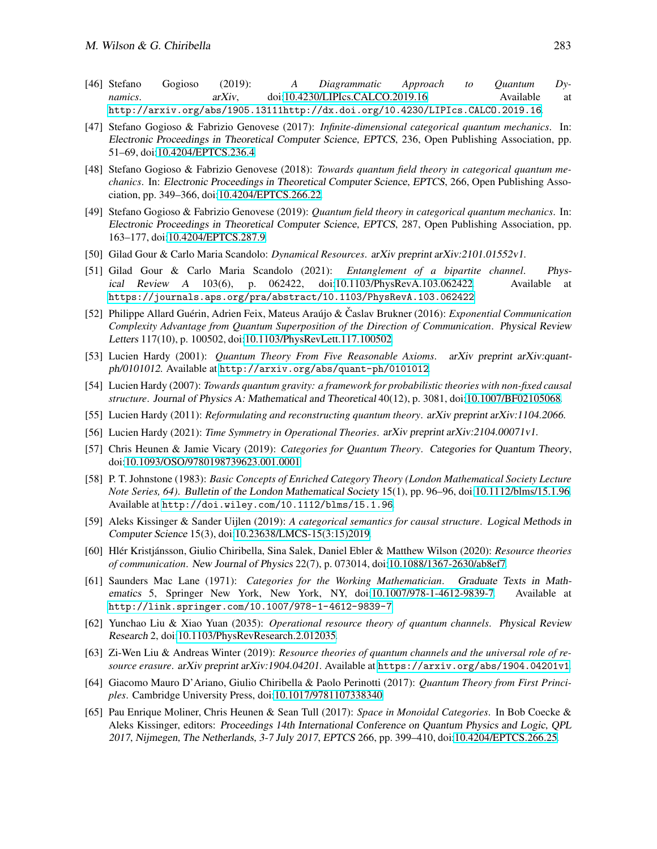- <span id="page-18-9"></span>[46] Stefano Gogioso (2019): *A Diagrammatic Approach to Quantum Dynamics*. **arXiv,** doi[:10.4230/LIPIcs.CALCO.2019.16.](http://dx.doi.org/10.4230/LIPIcs.CALCO.2019.16) Available at [http://arxiv.org/abs/1905.13111http://dx.doi.org/10.4230/LIPIcs.CALCO.2019.16](http://arxiv.org/abs/1905.13111 http://dx.doi.org/10.4230/LIPIcs.CALCO.2019.16).
- <span id="page-18-11"></span>[47] Stefano Gogioso & Fabrizio Genovese (2017): *Infinite-dimensional categorical quantum mechanics*. In: Electronic Proceedings in Theoretical Computer Science, EPTCS, 236, Open Publishing Association, pp. 51–69, doi[:10.4204/EPTCS.236.4.](http://dx.doi.org/10.4204/EPTCS.236.4)
- <span id="page-18-12"></span>[48] Stefano Gogioso & Fabrizio Genovese (2018): *Towards quantum field theory in categorical quantum mechanics*. In: Electronic Proceedings in Theoretical Computer Science, EPTCS, 266, Open Publishing Association, pp. 349–366, doi[:10.4204/EPTCS.266.22.](http://dx.doi.org/10.4204/EPTCS.266.22)
- <span id="page-18-13"></span>[49] Stefano Gogioso & Fabrizio Genovese (2019): *Quantum field theory in categorical quantum mechanics*. In: Electronic Proceedings in Theoretical Computer Science, EPTCS, 287, Open Publishing Association, pp. 163–177, doi[:10.4204/EPTCS.287.9.](http://dx.doi.org/10.4204/EPTCS.287.9)
- <span id="page-18-5"></span><span id="page-18-4"></span>[50] Gilad Gour & Carlo Maria Scandolo: *Dynamical Resources*. arXiv preprint arXiv:2101.01552v1.
- [51] Gilad Gour & Carlo Maria Scandolo (2021): *Entanglement of a bipartite channel*. Physical Review <sup>A</sup> 103(6), p. 062422, doi[:10.1103/PhysRevA.103.062422.](http://dx.doi.org/10.1103/PhysRevA.103.062422) Available at <https://journals.aps.org/pra/abstract/10.1103/PhysRevA.103.062422>.
- <span id="page-18-1"></span>[52] Philippe Allard Guérin, Adrien Feix, Mateus Araújo & Caslav Brukner (2016): *Exponential Communication Complexity Advantage from Quantum Superposition of the Direction of Communication*. Physical Review Letters 117(10), p. 100502, doi[:10.1103/PhysRevLett.117.100502.](http://dx.doi.org/10.1103/PhysRevLett.117.100502)
- <span id="page-18-16"></span>[53] Lucien Hardy (2001): *Quantum Theory From Five Reasonable Axioms*. arXiv preprint arXiv:quantph/0101012. Available at <http://arxiv.org/abs/quant-ph/0101012>.
- <span id="page-18-6"></span>[54] Lucien Hardy (2007): *Towards quantum gravity: a framework for probabilistic theories with non-fixed causal structure*. Journal of Physics A: Mathematical and Theoretical 40(12), p. 3081, doi[:10.1007/BF02105068.](http://dx.doi.org/10.1007/BF02105068)
- <span id="page-18-17"></span><span id="page-18-14"></span>[55] Lucien Hardy (2011): *Reformulating and reconstructing quantum theory*. arXiv preprint arXiv:1104.2066.
- <span id="page-18-7"></span>[56] Lucien Hardy (2021): *Time Symmetry in Operational Theories*. arXiv preprint arXiv:2104.00071v1.
- [57] Chris Heunen & Jamie Vicary (2019): *Categories for Quantum Theory*. Categories for Quantum Theory, doi[:10.1093/OSO/9780198739623.001.0001.](http://dx.doi.org/10.1093/OSO/9780198739623.001.0001)
- <span id="page-18-18"></span>[58] P. T. Johnstone (1983): *Basic Concepts of Enriched Category Theory (London Mathematical Society Lecture Note Series, 64)*. Bulletin of the London Mathematical Society 15(1), pp. 96–96, doi[:10.1112/blms/15.1.96.](http://dx.doi.org/10.1112/blms/15.1.96) Available at <http://doi.wiley.com/10.1112/blms/15.1.96>.
- <span id="page-18-10"></span>[59] Aleks Kissinger & Sander Uijlen (2019): *A categorical semantics for causal structure*. Logical Methods in Computer Science 15(3), doi[:10.23638/LMCS-15\(3:15\)2019.](http://dx.doi.org/10.23638/LMCS-15(3:15)2019)
- <span id="page-18-0"></span>[60] Hl´er Kristj´ansson, Giulio Chiribella, Sina Salek, Daniel Ebler & Matthew Wilson (2020): *Resource theories of communication*. New Journal of Physics 22(7), p. 073014, doi[:10.1088/1367-2630/ab8ef7.](http://dx.doi.org/10.1088/1367-2630/ab8ef7)
- <span id="page-18-8"></span>[61] Saunders Mac Lane (1971): *Categories for the Working Mathematician*. Graduate Texts in Mathematics 5, Springer New York, New York, NY, doi[:10.1007/978-1-4612-9839-7.](http://dx.doi.org/10.1007/978-1-4612-9839-7) Available at <http://link.springer.com/10.1007/978-1-4612-9839-7>.
- <span id="page-18-2"></span>[62] Yunchao Liu & Xiao Yuan (2035): *Operational resource theory of quantum channels*. Physical Review Research 2, doi[:10.1103/PhysRevResearch.2.012035.](http://dx.doi.org/10.1103/PhysRevResearch.2.012035)
- <span id="page-18-3"></span>[63] Zi-Wen Liu & Andreas Winter (2019): *Resource theories of quantum channels and the universal role of resource erasure*. arXiv preprint arXiv:1904.04201. Available at <https://arxiv.org/abs/1904.04201v1>.
- <span id="page-18-15"></span>[64] Giacomo Mauro D'Ariano, Giulio Chiribella & Paolo Perinotti (2017): *Quantum Theory from First Principles*. Cambridge University Press, doi[:10.1017/9781107338340.](http://dx.doi.org/10.1017/9781107338340)
- [65] Pau Enrique Moliner, Chris Heunen & Sean Tull (2017): *Space in Monoidal Categories*. In Bob Coecke & Aleks Kissinger, editors: Proceedings 14th International Conference on Quantum Physics and Logic, QPL 2017, Nijmegen, The Netherlands, 3-7 July <sup>2017</sup>, EPTCS 266, pp. 399–410, doi[:10.4204/EPTCS.266.25.](http://dx.doi.org/10.4204/EPTCS.266.25)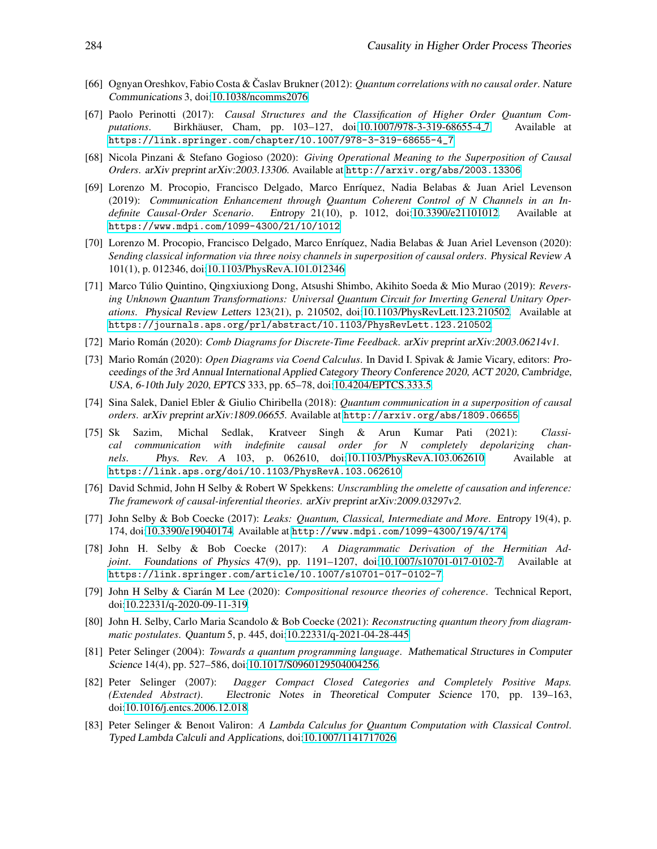- <span id="page-19-7"></span><span id="page-19-0"></span>[66] Ognyan Oreshkov, Fabio Costa & Časlav Brukner (2012): *Quantum correlations with no causal order*. Nature Communications 3, doi[:10.1038/ncomms2076.](http://dx.doi.org/10.1038/ncomms2076)
- [67] Paolo Perinotti (2017): *Causal Structures and the Classification of Higher Order Quantum Computations*. Birkhäuser, Cham, pp. 103–127, doi[:10.1007/978-3-319-68655-4](http://dx.doi.org/10.1007/978-3-319-68655-4{_}7)<sub>-7</sub>. Available at [https://link.springer.com/chapter/10.1007/978-3-319-68655-4\\_7](https://link.springer.com/chapter/10.1007/978-3-319-68655-4_7).
- <span id="page-19-8"></span>[68] Nicola Pinzani & Stefano Gogioso (2020): *Giving Operational Meaning to the Superposition of Causal Orders*. arXiv preprint arXiv:2003.13306. Available at <http://arxiv.org/abs/2003.13306>.
- <span id="page-19-3"></span>[69] Lorenzo M. Procopio, Francisco Delgado, Marco Enríquez, Nadia Belabas & Juan Ariel Levenson (2019): *Communication Enhancement through Quantum Coherent Control of N Channels in an Indefinite Causal-Order Scenario*. Entropy 21(10), p. 1012, doi[:10.3390/e21101012.](http://dx.doi.org/10.3390/e21101012) Available at <https://www.mdpi.com/1099-4300/21/10/1012>.
- <span id="page-19-4"></span>[70] Lorenzo M. Procopio, Francisco Delgado, Marco Enríquez, Nadia Belabas & Juan Ariel Levenson (2020): *Sending classical information via three noisy channels in superposition of causal orders*. Physical Review <sup>A</sup> 101(1), p. 012346, doi[:10.1103/PhysRevA.101.012346.](http://dx.doi.org/10.1103/PhysRevA.101.012346)
- <span id="page-19-6"></span>[71] Marco Túlio Quintino, Qingxiuxiong Dong, Atsushi Shimbo, Akihito Soeda & Mio Murao (2019): *Reversing Unknown Quantum Transformations: Universal Quantum Circuit for Inverting General Unitary Operations*. Physical Review Letters 123(21), p. 210502, doi[:10.1103/PhysRevLett.123.210502.](http://dx.doi.org/10.1103/PhysRevLett.123.210502) Available at <https://journals.aps.org/prl/abstract/10.1103/PhysRevLett.123.210502>.
- <span id="page-19-15"></span><span id="page-19-14"></span>[72] Mario Rom´an (2020): *Comb Diagrams for Discrete-Time Feedback*. arXiv preprint arXiv:2003.06214v1.
- [73] Mario Rom´an (2020): *Open Diagrams via Coend Calculus*. In David I. Spivak & Jamie Vicary, editors: Proceedings of the 3rd Annual International Applied Category Theory Conference 2020, ACT 2020, Cambridge, USA, 6-10th July <sup>2020</sup>, EPTCS 333, pp. 65–78, doi[:10.4204/EPTCS.333.5.](http://dx.doi.org/10.4204/EPTCS.333.5)
- <span id="page-19-1"></span>[74] Sina Salek, Daniel Ebler & Giulio Chiribella (2018): *Quantum communication in a superposition of causal orders*. arXiv preprint arXiv:1809.06655. Available at <http://arxiv.org/abs/1809.06655>.
- <span id="page-19-2"></span>[75] Sk Sazim, Michal Sedlak, Kratveer Singh & Arun Kumar Pati (2021): *Classical communication with indefinite causal order for N completely depolarizing channels*. Phys. Rev. <sup>A</sup> 103, p. 062610, doi[:10.1103/PhysRevA.103.062610.](http://dx.doi.org/10.1103/PhysRevA.103.062610) Available at <https://link.aps.org/doi/10.1103/PhysRevA.103.062610>.
- <span id="page-19-13"></span>[76] David Schmid, John H Selby & Robert W Spekkens: *Unscrambling the omelette of causation and inference: The framework of causal-inferential theories*. arXiv preprint arXiv:2009.03297v2.
- <span id="page-19-10"></span>[77] John Selby & Bob Coecke (2017): *Leaks: Quantum, Classical, Intermediate and More*. Entropy 19(4), p. 174, doi[:10.3390/e19040174.](http://dx.doi.org/10.3390/e19040174) Available at <http://www.mdpi.com/1099-4300/19/4/174>.
- <span id="page-19-9"></span>[78] John H. Selby & Bob Coecke (2017): *A Diagrammatic Derivation of the Hermitian Adjoint*. Foundations of Physics 47(9), pp. 1191–1207, doi[:10.1007/s10701-017-0102-7.](http://dx.doi.org/10.1007/s10701-017-0102-7) Available at <https://link.springer.com/article/10.1007/s10701-017-0102-7>.
- <span id="page-19-5"></span>[79] John H Selby & Ciar´an M Lee (2020): *Compositional resource theories of coherence*. Technical Report, doi[:10.22331/q-2020-09-11-319.](http://dx.doi.org/10.22331/q-2020-09-11-319)
- <span id="page-19-12"></span>[80] John H. Selby, Carlo Maria Scandolo & Bob Coecke (2021): *Reconstructing quantum theory from diagrammatic postulates*. Quantum 5, p. 445, doi[:10.22331/q-2021-04-28-445.](http://dx.doi.org/10.22331/q-2021-04-28-445)
- <span id="page-19-17"></span>[81] Peter Selinger (2004): *Towards a quantum programming language*. Mathematical Structures in Computer Science 14(4), pp. 527–586, doi[:10.1017/S0960129504004256.](http://dx.doi.org/10.1017/S0960129504004256)
- <span id="page-19-11"></span>[82] Peter Selinger (2007): *Dagger Compact Closed Categories and Completely Positive Maps. (Extended Abstract)*. Electronic Notes in Theoretical Computer Science 170, pp. 139–163, doi[:10.1016/j.entcs.2006.12.018.](http://dx.doi.org/10.1016/j.entcs.2006.12.018)
- <span id="page-19-16"></span>[83] Peter Selinger & Benoıt Valiron: *A Lambda Calculus for Quantum Computation with Classical Control*. Typed Lambda Calculi and Applications, doi[:10.1007/1141717026.](http://dx.doi.org/10.1007/1141717026)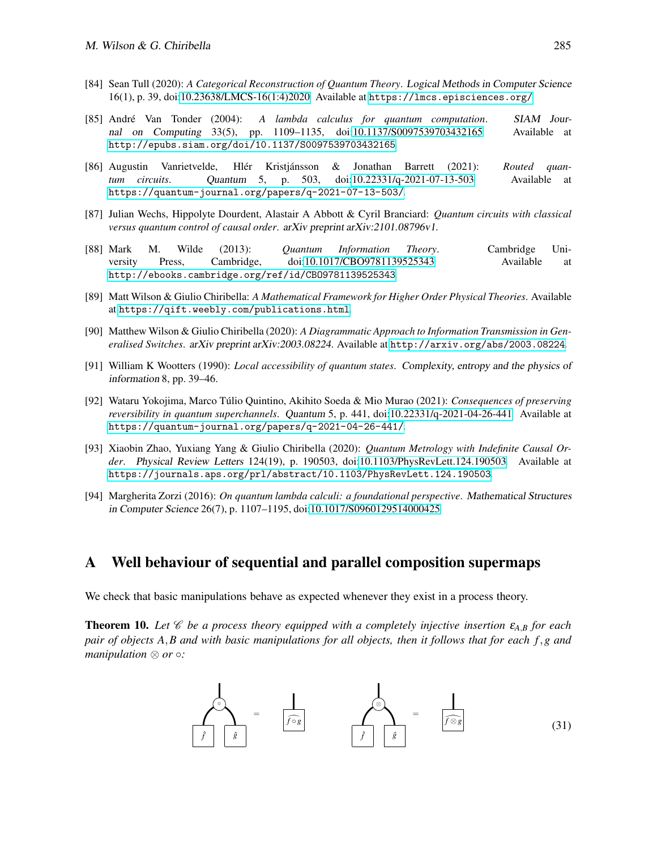- <span id="page-20-5"></span>[84] Sean Tull (2020): *A Categorical Reconstruction of Quantum Theory*. Logical Methods in Computer Science 16(1), p. 39, doi[:10.23638/LMCS-16\(1:4\)2020.](http://dx.doi.org/10.23638/LMCS-16(1:4)2020) Available at <https://lmcs.episciences.org/>.
- <span id="page-20-7"></span>[85] Andr´e Van Tonder (2004): *A lambda calculus for quantum computation*. SIAM Journal on Computing 33(5), pp. 1109–1135, doi[:10.1137/S0097539703432165.](http://dx.doi.org/10.1137/S0097539703432165) Available at <http://epubs.siam.org/doi/10.1137/S0097539703432165>.
- <span id="page-20-6"></span>[86] Augustin Vanrietvelde, Hlér Kristjánsson & Jonathan Barrett (2021): *Routed quantum circuits*. Quantum 5, p. 503, doi[:10.22331/q-2021-07-13-503.](http://dx.doi.org/10.22331/q-2021-07-13-503) Available at <https://quantum-journal.org/papers/q-2021-07-13-503/>.
- <span id="page-20-3"></span>[87] Julian Wechs, Hippolyte Dourdent, Alastair A Abbott & Cyril Branciard: *Quantum circuits with classical versus quantum control of causal order*. arXiv preprint arXiv:2101.08796v1.
- <span id="page-20-9"></span>[88] Mark M. Wilde (2013): *Quantum Information Theory*. Cambridge University Press, Cambridge, doi[:10.1017/CBO9781139525343.](http://dx.doi.org/10.1017/CBO9781139525343) Available at <http://ebooks.cambridge.org/ref/id/CBO9781139525343>.
- <span id="page-20-0"></span>[89] Matt Wilson & Giulio Chiribella: *A Mathematical Framework for Higher Order Physical Theories*. Available at <https://qift.weebly.com/publications.html>.
- <span id="page-20-1"></span>[90] Matthew Wilson & Giulio Chiribella (2020): *A Diagrammatic Approach to Information Transmission in Generalised Switches*. arXiv preprint arXiv:2003.08224. Available at <http://arxiv.org/abs/2003.08224>.
- <span id="page-20-10"></span>[91] William K Wootters (1990): *Local accessibility of quantum states*. Complexity, entropy and the physics of information 8, pp. 39–46.
- <span id="page-20-4"></span>[92] Wataru Yokojima, Marco Túlio Quintino, Akihito Soeda & Mio Murao (2021): *Consequences of preserving reversibility in quantum superchannels*. Quantum 5, p. 441, doi[:10.22331/q-2021-04-26-441.](http://dx.doi.org/10.22331/q-2021-04-26-441) Available at <https://quantum-journal.org/papers/q-2021-04-26-441/>.
- <span id="page-20-2"></span>[93] Xiaobin Zhao, Yuxiang Yang & Giulio Chiribella (2020): *Quantum Metrology with Indefinite Causal Order*. Physical Review Letters 124(19), p. 190503, doi[:10.1103/PhysRevLett.124.190503.](http://dx.doi.org/10.1103/PhysRevLett.124.190503) Available at <https://journals.aps.org/prl/abstract/10.1103/PhysRevLett.124.190503>.
- <span id="page-20-8"></span>[94] Margherita Zorzi (2016): *On quantum lambda calculi: a foundational perspective*. Mathematical Structures in Computer Science 26(7), p. 1107–1195, doi[:10.1017/S0960129514000425.](http://dx.doi.org/10.1017/S0960129514000425)

### A Well behaviour of sequential and parallel composition supermaps

We check that basic manipulations behave as expected whenever they exist in a process theory.

**Theorem 10.** Let  $\mathscr{C}$  be a process theory equipped with a completely injective insertion  $\varepsilon_{AB}$  for each *pair of objects A*,*B and with basic manipulations for all objects, then it follows that for each f*,*g and manipulation* ⊗ *or* ◦*:* 

$$
\frac{1}{f} \frac{1}{\frac{s}{f}}
$$
 =  $\frac{1}{f \circ g}$   $\frac{1}{f} \frac{s}{g}$  =  $\frac{1}{f \circ g}$  (31)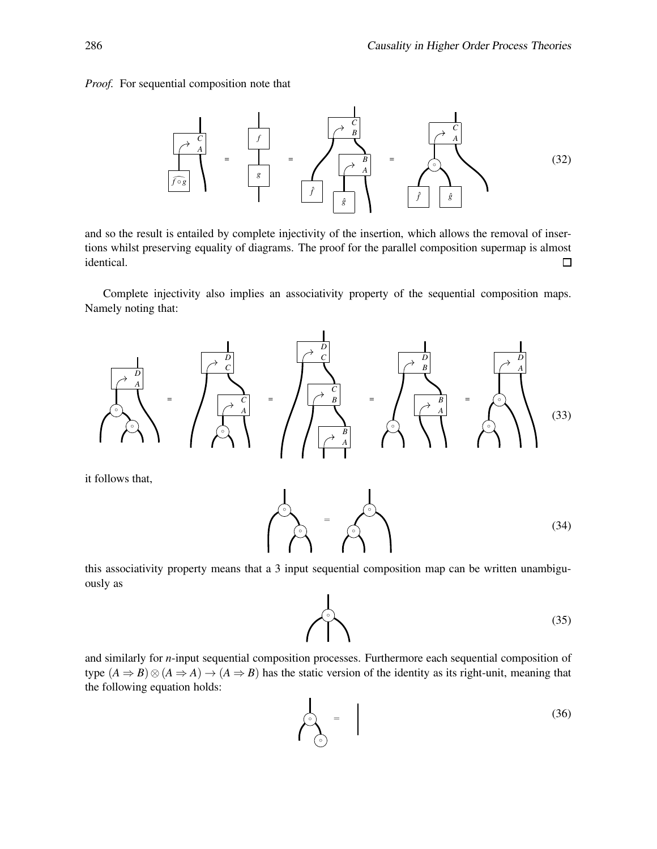*Proof.* For sequential composition note that



and so the result is entailed by complete injectivity of the insertion, which allows the removal of insertions whilst preserving equality of diagrams. The proof for the parallel composition supermap is almost identical. □

Complete injectivity also implies an associativity property of the sequential composition maps. Namely noting that:



it follows that,



this associativity property means that a 3 input sequential composition map can be written unambiguously as



and similarly for *n*-input sequential composition processes. Furthermore each sequential composition of type  $(A \Rightarrow B) \otimes (A \Rightarrow A) \rightarrow (A \Rightarrow B)$  has the static version of the identity as its right-unit, meaning that the following equation holds: k.

$$
\left(\begin{array}{c}\n\circ \\
\circ \\
\circ\n\end{array}\right) = \qquad (36)
$$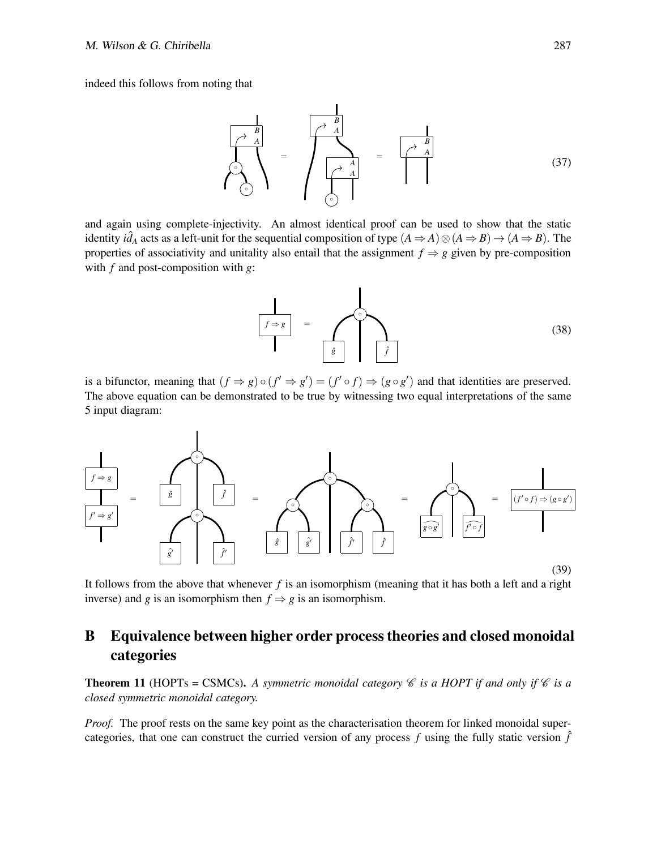indeed this follows from noting that



and again using complete-injectivity. An almost identical proof can be used to show that the static identity  $i\hat{d}_A$  acts as a left-unit for the sequential composition of type  $(A \Rightarrow A) \otimes (A \Rightarrow B) \rightarrow (A \Rightarrow B)$ . The properties of associativity and unitality also entail that the assignment  $f \Rightarrow g$  given by pre-composition with *f* and post-composition with *g*:



is a bifunctor, meaning that  $(f \Rightarrow g) \circ (f' \Rightarrow g') = (f' \circ f) \Rightarrow (g \circ g')$  and that identities are preserved. The above equation can be demonstrated to be true by witnessing two equal interpretations of the same 5 input diagram:



(39)

It follows from the above that whenever *f* is an isomorphism (meaning that it has both a left and a right inverse) and *g* is an isomorphism then  $f \Rightarrow g$  is an isomorphism.

# B Equivalence between higher order process theories and closed monoidal categories

**Theorem 11** (HOPTs = CSMCs). A symmetric monoidal category  $\mathscr C$  *is a HOPT if and only if*  $\mathscr C$  *is a closed symmetric monoidal category.*

*Proof.* The proof rests on the same key point as the characterisation theorem for linked monoidal supercategories, that one can construct the curried version of any process  $f$  using the fully static version  $\hat{f}$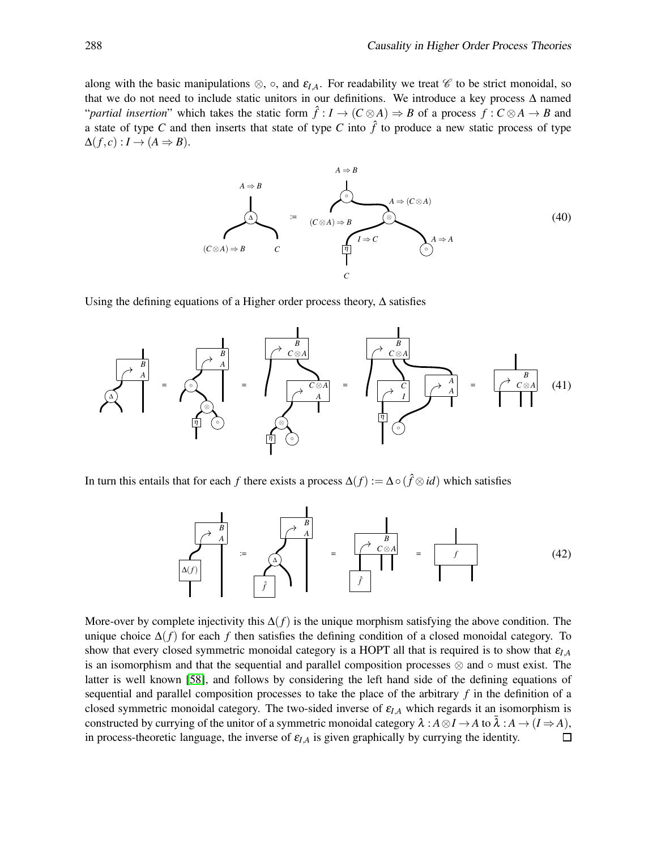along with the basic manipulations  $\otimes$ ,  $\circ$ , and  $\varepsilon_{I,A}$ . For readability we treat  $\mathscr C$  to be strict monoidal, so that we do not need to include static unitors in our definitions. We introduce a key process  $\Delta$  named "*partial insertion*" which takes the static form  $\hat{f}: I \to (C \otimes A) \Rightarrow B$  of a process  $f: C \otimes A \to B$  and a state of type *C* and then inserts that state of type *C* into  $\hat{f}$  to produce a new static process of type  $\Delta(f, c) : I \to (A \Rightarrow B).$ 



Using the defining equations of a Higher order process theory,  $\Delta$  satisfies



In turn this entails that for each *f* there exists a process  $\Delta(f) := \Delta \circ (\hat{f} \otimes id)$  which satisfies

$$
\begin{array}{|c|c|c|c|c|}\n\hline\n\begin{array}{c}\n\hline\nA & B \\
\hline\nA(f) \\
\hline\n\end{array}\n\end{array} := \begin{array}{|c|c|}\n\hline\n\begin{array}{c}\n\hline\n\end{array} & B \\
\hline\n\begin{array}{c}\n\hline\n\end{array} & = \begin{array}{|c|}\n\hline\n\end{array} & f \\
\hline\n\begin{array}{c}\n\hline\n\end{array} & \begin{array}{c}\n\hline\n\end{array} & \begin{array}{c}\n\hline\n\end{array} & \begin{array}{c}\n\hline\n\end{array} & \begin{array}{c}\n\hline\n\end{array} & \begin{array}{c}\n\hline\n\end{array} & \begin{array}{c}\n\hline\n\end{array} & \begin{array}{c}\n\hline\n\end{array} & \begin{array}{c}\n\hline\n\end{array} & \begin{array}{c}\n\hline\n\end{array} & \begin{array}{c}\n\hline\n\end{array} & \begin{array}{c}\n\hline\n\end{array} & \begin{array}{c}\n\hline\n\end{array} & \begin{array}{c}\n\hline\n\end{array} & \begin{array}{c}\n\hline\n\end{array} & \begin{array}{c}\n\hline\n\end{array} & \begin{array}{c}\n\hline\n\end{array} & \begin{array}{c}\n\hline\n\end{array} & \begin{array}{c}\n\hline\n\end{array} & \begin{array}{c}\n\hline\n\end{array} & \begin{array}{c}\n\hline\n\end{array} & \begin{array}{c}\n\hline\n\end{array} & \begin{array}{c}\n\hline\n\end{array} & \begin{array}{c}\n\hline\n\end{array} & \begin{array}{c}\n\hline\n\end{array} & \begin{array}{c}\n\hline\n\end{array} & \begin{array}{c}\n\hline\n\end{array} & \begin{array}{c}\n\hline\n\end{array} & \begin{array}{c}\n\hline\n\end{array} & \begin{array}{c}\n\hline\n\end{array} & \begin{array}{c}\n\hline\n\end{array} & \begin{array}{c}\n\hline\n\end{array} & \begin{array}{c}\n\hline\n\end{array} & \begin{array}{c}\n\hline\n\end{array} & \
$$

More-over by complete injectivity this ∆(*f*) is the unique morphism satisfying the above condition. The unique choice  $\Delta(f)$  for each *f* then satisfies the defining condition of a closed monoidal category. To show that every closed symmetric monoidal category is a HOPT all that is required is to show that <sup>ε</sup>*I*,*<sup>A</sup>* is an isomorphism and that the sequential and parallel composition processes  $\otimes$  and  $\circ$  must exist. The latter is well known [\[58\]](#page-18-18), and follows by considering the left hand side of the defining equations of sequential and parallel composition processes to take the place of the arbitrary *f* in the definition of a closed symmetric monoidal category. The two-sided inverse of  $\varepsilon_{IA}$  which regards it an isomorphism is constructed by currying of the unitor of a symmetric monoidal category  $\lambda : A \otimes I \to A$  to  $\overline{\lambda} : A \to (I \Rightarrow A)$ , in process-theoretic language, the inverse of  $\varepsilon_{I,A}$  is given graphically by currying the identity.  $\Box$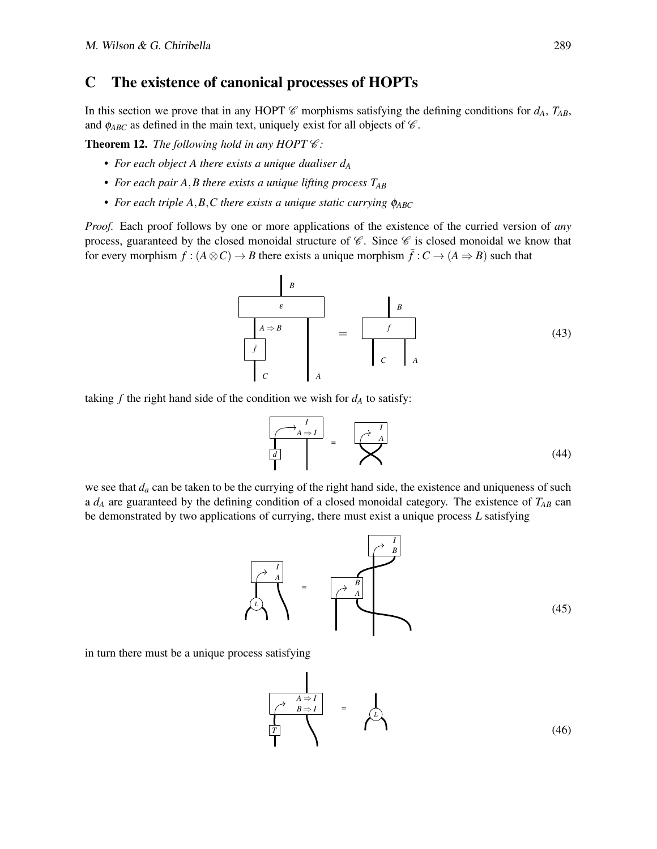### C The existence of canonical processes of HOPTs

In this section we prove that in any HOPT  $\mathscr C$  morphisms satisfying the defining conditions for  $d_A$ ,  $T_{AB}$ , and  $\phi_{ABC}$  as defined in the main text, uniquely exist for all objects of  $\mathscr{C}$ .

**Theorem 12.** *The following hold in any HOPT*  $C$ *:* 

- *For each object A there exists a unique dualiser d<sup>A</sup>*
- *For each pair A*,*B there exists a unique lifting process TAB*
- *For each triple A,B,C there exists a unique static currying*  $\phi_{ABC}$

*Proof.* Each proof follows by one or more applications of the existence of the curried version of *any* process, guaranteed by the closed monoidal structure of  $C$ . Since  $C$  is closed monoidal we know that for every morphism  $f : (A \otimes C) \to B$  there exists a unique morphism  $\bar{f} : C \to (A \Rightarrow B)$  such that

$$
\begin{array}{|c|c|}\n\hline\nB \\
\hline\nA \Rightarrow B \\
\hline\n\overline{f} \\
\hline\nC \\
\end{array}\n\qquad\n\begin{array}{|c|c|}\n\hline\nB \\
\hline\n\end{array}\n\qquad\n\begin{array}{|c|c|}\n\hline\nf \\
\hline\n\end{array}
$$
\n(43)

taking  $f$  the right hand side of the condition we wish for  $d_A$  to satisfy:

$$
\frac{\begin{bmatrix} \lambda & 1 \\ A \Rightarrow I \end{bmatrix}}{\begin{bmatrix} d \\ I \end{bmatrix}} = \sum_{i=1}^{I} (44)
$$

we see that  $d_a$  can be taken to be the currying of the right hand side, the existence and uniqueness of such a  $d_A$  are guaranteed by the defining condition of a closed monoidal category. The existence of  $T_{AB}$  can be demonstrated by two applications of currying, there must exist a unique process *L* satisfying



in turn there must be a unique process satisfying

$$
\begin{array}{|c|c|}\n\hline\n\rightarrow & A \Rightarrow I \\
\hline\n\uparrow & B \Rightarrow I \\
\hline\n\uparrow & \nearrow\n\end{array} = \begin{array}{|c|}\n\hline\n\downarrow & & \\
\hline\n\downarrow & & \\
\hline\n\downarrow & & \\
\hline\n\downarrow & & \\
\hline\n\downarrow & & \\
\hline\n\downarrow & & \\
\hline\n\downarrow & & \\
\hline\n\downarrow & & \\
\hline\n\downarrow & & \\
\hline\n\downarrow & & \\
\hline\n\downarrow & & \\
\hline\n\downarrow & & \\
\hline\n\downarrow & & \\
\hline\n\downarrow & & \\
\hline\n\downarrow & & \\
\hline\n\downarrow & & \\
\hline\n\downarrow & & \\
\hline\n\downarrow & & \\
\hline\n\downarrow & & \\
\hline\n\downarrow & & \\
\hline\n\downarrow & & \\
\hline\n\downarrow & & \\
\hline\n\downarrow & & \\
\hline\n\downarrow & & \\
\hline\n\downarrow & & \\
\hline\n\downarrow & & \\
\hline\n\downarrow & & \\
\hline\n\downarrow & & \\
\hline\n\downarrow & & \\
\hline\n\downarrow & & \\
\hline\n\downarrow & & \\
\hline\n\downarrow & & \\
\hline\n\downarrow & & \\
\hline\n\downarrow & & \\
\hline\n\downarrow & & \\
\hline\n\downarrow & & \\
\hline\n\downarrow & & \\
\hline\n\downarrow & & \\
\hline\n\downarrow & & \\
\hline\n\downarrow & & \\
\hline\n\downarrow & & \\
\hline\n\downarrow & & \\
\hline\n\downarrow & & \\
\hline\n\downarrow & & \\
\hline\n\downarrow & & \\
\hline\n\downarrow & & \\
\hline\n\downarrow & & \\
\hline\n\downarrow & & \\
\hline\n\downarrow & & \\
\hline\n\downarrow & & \\
\hline\n\downarrow & & \\
\hline\n\downarrow & & \\
\hline\n\downarrow & & \\
\hline\n\downarrow & & \\
\hline\n\downarrow & & \\
\hline\n\downarrow & & \\
\hline\n\downarrow & & \\
\hline\n\downarrow & & \\
\hline\n\downarrow & & \\
\hline\n\downarrow & & \\
\hline\n\downarrow & & \\
\hline\n\downarrow & & \\
\hline\n\downarrow & & \\
\hline\n\downarrow & & \\
\hline\n\downarrow & & \\
\hline\n\downarrow & & \\
\hline\n\downarrow & & \\
\hline\n\downarrow & & \\
\hline\n\downarrow & & \\
\hline\n\
$$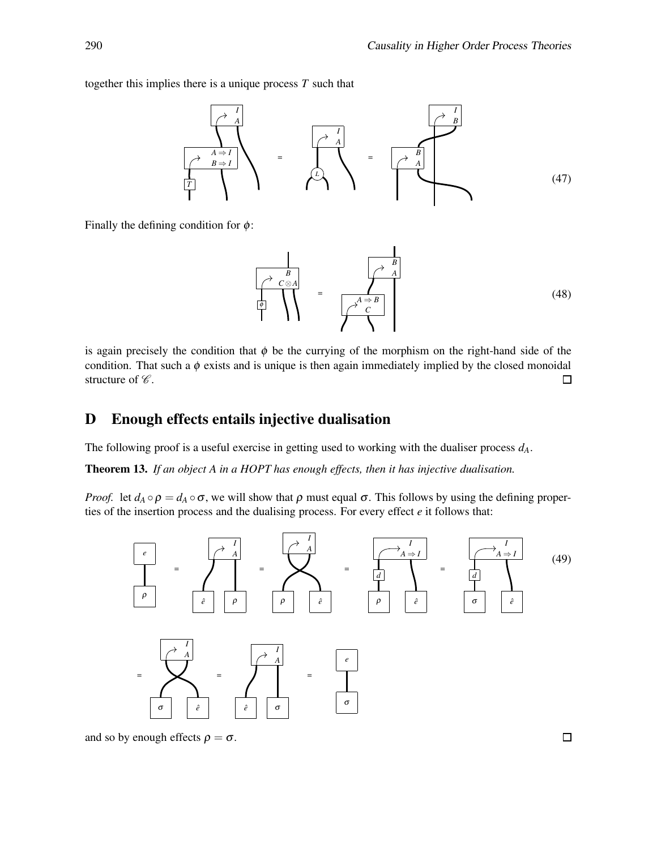together this implies there is a unique process *T* such that



Finally the defining condition for  $\phi$ :

$$
\frac{B}{\begin{pmatrix} \lambda & B \\ C \otimes A \\ \vdots & \vdots \\ C \end{pmatrix}} = \frac{A \Rightarrow B}{\begin{pmatrix} \lambda & A \\ C \\ C \end{pmatrix}}
$$
 (48)

is again precisely the condition that  $\phi$  be the currying of the morphism on the right-hand side of the condition. That such a  $\phi$  exists and is unique is then again immediately implied by the closed monoidal structure of  $\mathscr{C}.$  $\Box$ 

# D Enough effects entails injective dualisation

The following proof is a useful exercise in getting used to working with the dualiser process *dA*.

Theorem 13. *If an object A in a HOPT has enough effects, then it has injective dualisation.*

*Proof.* let  $d_A \circ \rho = d_A \circ \sigma$ , we will show that  $\rho$  must equal  $\sigma$ . This follows by using the defining properties of the insertion process and the dualising process. For every effect *e* it follows that:



and so by enough effects  $\rho = \sigma$ .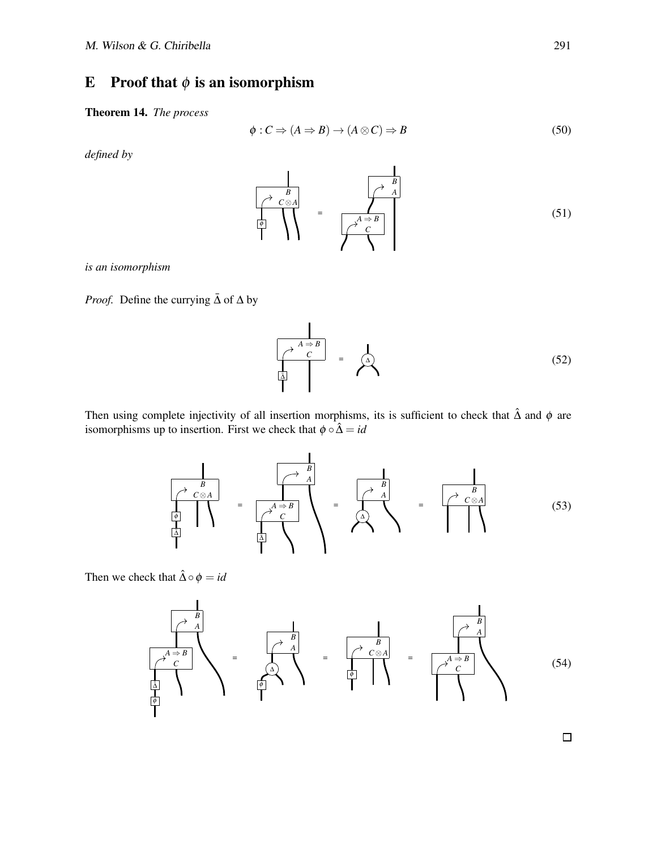# E Proof that  $\phi$  is an isomorphism

Theorem 14. *The process*

$$
\phi: C \Rightarrow (A \Rightarrow B) \to (A \otimes C) \Rightarrow B \tag{50}
$$

*defined by*



*is an isomorphism*

*Proof.* Define the currying  $\bar{\Delta}$  of  $\Delta$  by

$$
\overrightarrow{A \Rightarrow B} = \overrightarrow{A}
$$
\n(52)

Then using complete injectivity of all insertion morphisms, its is sufficient to check that  $\hat{\Delta}$  and  $\phi$  are isomorphisms up to insertion. First we check that  $\phi \circ \hat{\Delta} = id$ 



Then we check that  $\hat{\Delta} \circ \phi = id$ 

$$
\frac{1}{\begin{pmatrix} \lambda & \lambda \\ \lambda & \lambda \\ \lambda & \lambda \\ \lambda & \lambda \\ \lambda & \lambda \\ \lambda & \lambda \end{pmatrix}} = \frac{1}{\begin{pmatrix} \lambda & \lambda \\ \lambda & \lambda \\ \lambda & \lambda \\ \lambda & \lambda \end{pmatrix}} = \frac{1}{\begin{pmatrix} \lambda & \lambda \\ \lambda & \lambda \\ \lambda & \lambda \\ \lambda & \lambda \end{pmatrix}} = \frac{1}{\begin{pmatrix} \lambda & \lambda \\ \lambda & \lambda \\ \lambda & \lambda \\ \lambda & \lambda \end{pmatrix}}
$$
(54)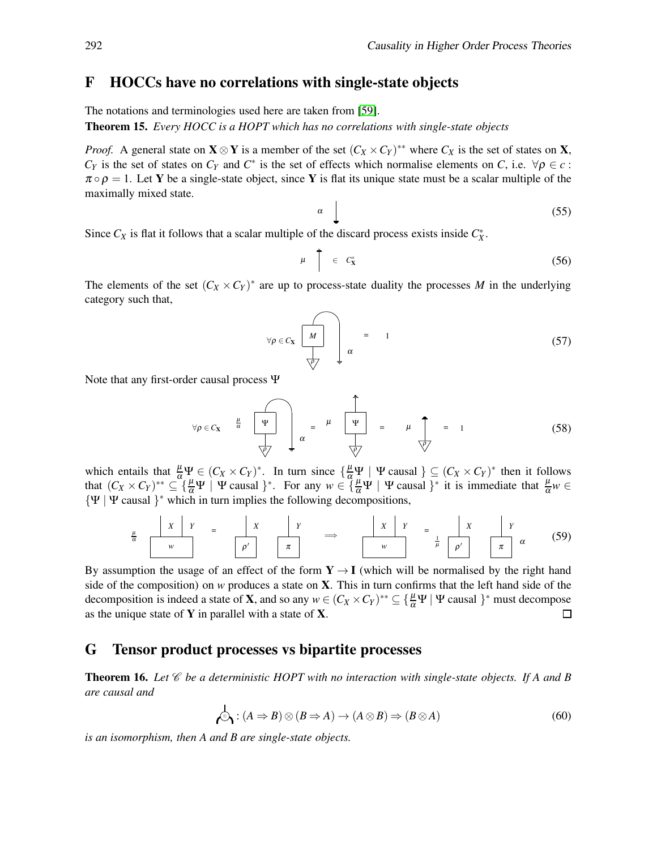#### F HOCCs have no correlations with single-state objects

The notations and terminologies used here are taken from [\[59\]](#page-18-10).

Theorem 15. *Every HOCC is a HOPT which has no correlations with single-state objects*

*Proof.* A general state on  $X \otimes Y$  is a member of the set  $(C_X \times C_Y)^{**}$  where  $C_X$  is the set of states on X,  $C_Y$  is the set of states on  $C_Y$  and  $C^*$  is the set of effects which normalise elements on *C*, i.e.  $\forall \rho \in \mathcal{C}$ :  $\pi \circ \rho = 1$ . Let Y be a single-state object, since Y is flat its unique state must be a scalar multiple of the maximally mixed state.

$$
\alpha \quad \boxed{\qquad \qquad (55)}
$$

Since  $C_X$  is flat it follows that a scalar multiple of the discard process exists inside  $C_X^*$ .

$$
\mu \quad \uparrow \quad \in \quad C^*_X \tag{56}
$$

The elements of the set  $(C_X \times C_Y)^*$  are up to process-state duality the processes *M* in the underlying category such that,

$$
\forall \rho \in C_{\mathbf{X}} \quad \begin{array}{|c|c|c|} \hline \begin{matrix} & & \\ \hline M & & \\ & & \\ \hline \sqrt{\rho} & & \end{matrix} & \alpha \end{array} \tag{57}
$$

Note that any first-order causal process Ψ

$$
\forall \rho \in C_{\mathbf{X}} \quad \xrightarrow{\mu} \quad \boxed{\Psi} \quad \downarrow \quad \alpha = \quad \mu \quad \boxed{\Psi} \quad = \quad \mu \quad \overrightarrow{\uparrow} \quad = \quad 1 \tag{58}
$$

which entails that  $\frac{\mu}{\alpha}\Psi \in (C_X \times C_Y)^*$ . In turn since  $\{\frac{\mu}{\alpha}\Psi \mid \Psi \text{ causal }\} \subseteq (C_X \times C_Y)^*$  then it follows that  $(C_X \times C_Y)^{**} \subseteq \{ \frac{\mu}{\alpha} \Psi \mid \Psi \text{ causal } \}^*$ . For any  $w \in \{ \frac{\mu}{\alpha} \Psi \mid \Psi \text{ causal } \}^*$  it is immediate that  $\frac{\mu}{\alpha} w \in$  $\{ \Psi \mid \Psi \text{ causal } \}^*$  which in turn implies the following decompositions,

$$
\frac{\mu}{\alpha} \quad\n\begin{array}{c|c|c|c|c|c|c|c|c|c} x & Y & & x & Y \\ \hline \hline \cdots & \cdots & \cdots & \cdots & \cdots \end{array}\n\quad\n\begin{array}{c|c|c|c|c} x & Y & & x & Y \\ \hline \hline \cdots & \cdots & \cdots & \cdots & \cdots \end{array}\n\quad\n\begin{array}{c|c|c|c} x & Y & & x & Y \\ \hline \cdots & \cdots & \cdots & \cdots & \cdots \end{array}\n\quad\n\begin{array}{c|c|c|c} x & Y & & x & Y \\ \hline \cdots & \cdots & \cdots & \cdots & \cdots \end{array}\n\quad (59)
$$

By assumption the usage of an effect of the form  $Y \rightarrow I$  (which will be normalised by the right hand side of the composition) on *w* produces a state on X. This in turn confirms that the left hand side of the decomposition is indeed a state of **X**, and so any  $w \in (C_X \times C_Y)^{**} \subseteq \{\frac{\mu}{\alpha} \Psi \mid \Psi \text{ causal } \}^*$  must decompose as the unique state of  $Y$  in parallel with a state of  $X$ .  $\Box$ 

#### G Tensor product processes vs bipartite processes

**Theorem 16.** Let  $\mathscr C$  be a deterministic HOPT with no interaction with single-state objects. If A and B *are causal and*

$$
\mathcal{A} : (A \Rightarrow B) \otimes (B \Rightarrow A) \to (A \otimes B) \Rightarrow (B \otimes A)
$$
\n(60)

*is an isomorphism, then A and B are single-state objects.*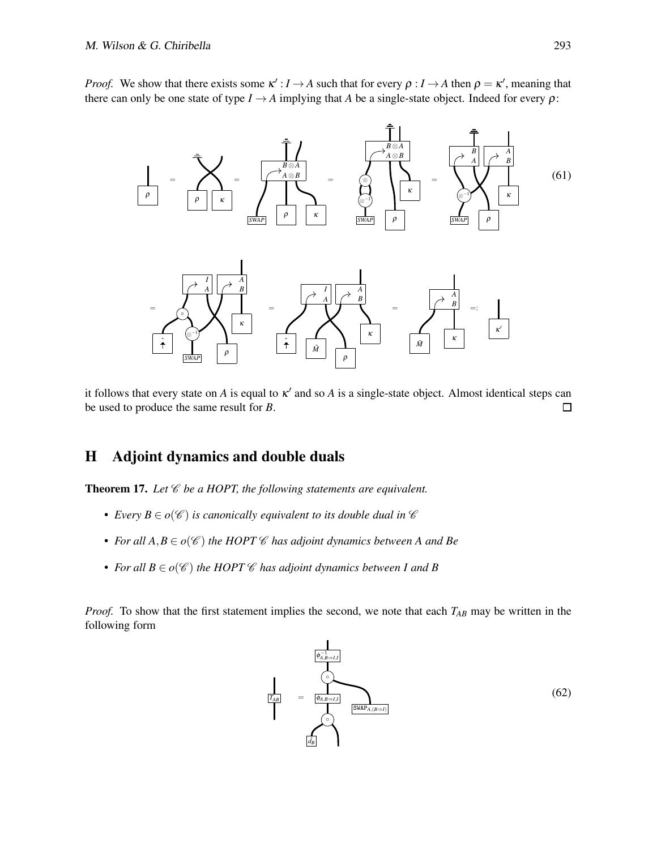*Proof.* We show that there exists some  $\kappa': I \to A$  such that for every  $\rho: I \to A$  then  $\rho = \kappa'$ , meaning that there can only be one state of type  $I \rightarrow A$  implying that *A* be a single-state object. Indeed for every  $\rho$ :



it follows that every state on  $A$  is equal to  $\kappa'$  and so  $A$  is a single-state object. Almost identical steps can be used to produce the same result for *B*.  $\Box$ 

# H Adjoint dynamics and double duals

Theorem 17. Let  $\mathscr C$  be a HOPT, the following statements are equivalent.

- *Every*  $B \in o(\mathscr{C})$  *is canonically equivalent to its double dual in*  $\mathscr{C}$
- For all  $A, B \in o(\mathscr{C})$  the HOPT  $\mathscr{C}$  has adjoint dynamics between A and Be
- For all  $B \in o(\mathscr{C})$  the HOPT  $\mathscr{C}$  has adjoint dynamics between I and B

*Proof.* To show that the first statement implies the second, we note that each  $T_{AB}$  may be written in the following form

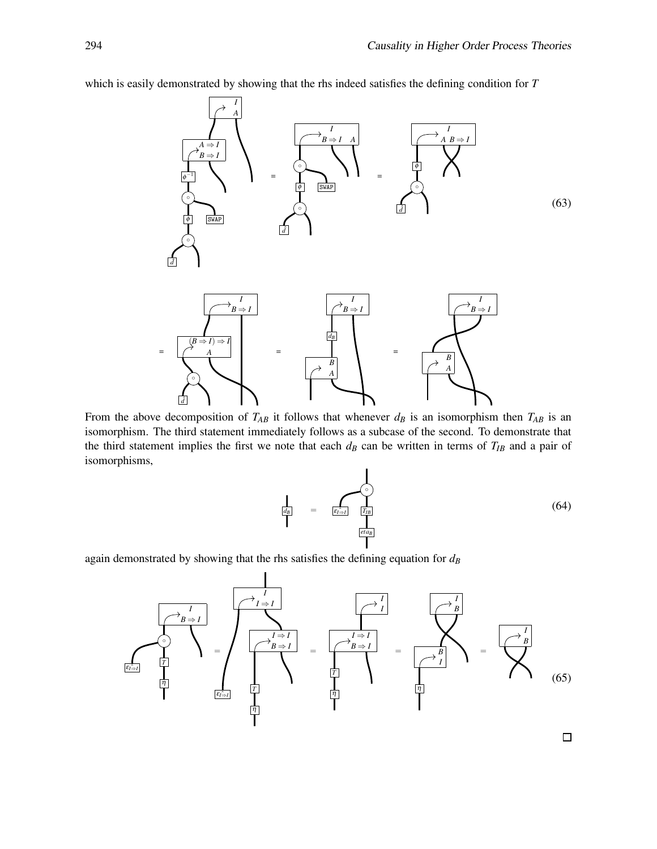

which is easily demonstrated by showing that the rhs indeed satisfies the defining condition for *T*

From the above decomposition of  $T_{AB}$  it follows that whenever  $d_B$  is an isomorphism then  $T_{AB}$  is an isomorphism. The third statement immediately follows as a subcase of the second. To demonstrate that the third statement implies the first we note that each  $d<sub>B</sub>$  can be written in terms of  $T<sub>IB</sub>$  and a pair of isomorphisms,

$$
\frac{1}{\left| \frac{d_B}{d_B} \right|} = \frac{\left| \bigcap_{\substack{\epsilon \in [a] \\ |\epsilon| \leq \epsilon}} \frac{1}{\left| T_{IB} \right|} \right|} \tag{64}
$$

again demonstrated by showing that the rhs satisfies the defining equation for *d<sup>B</sup>*

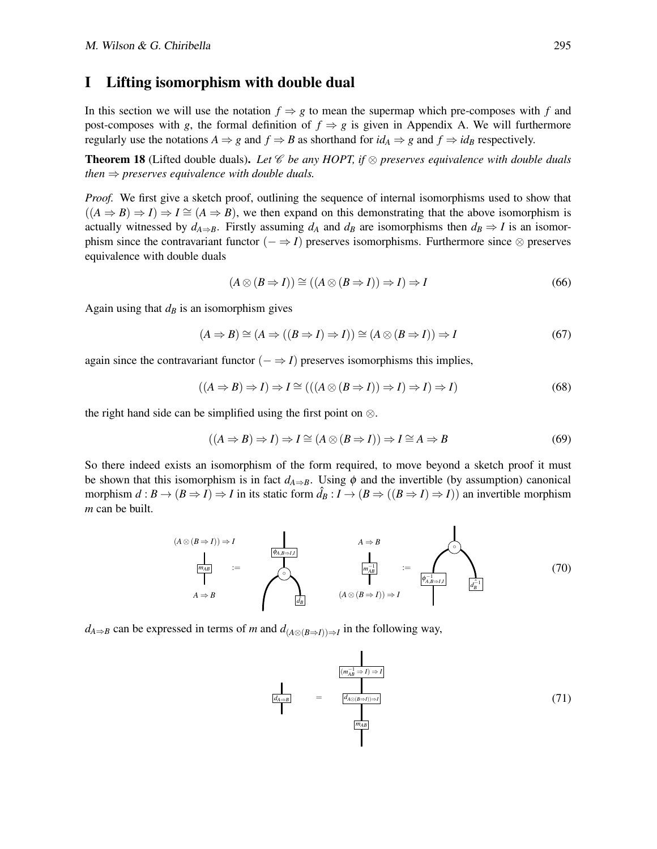#### I Lifting isomorphism with double dual

In this section we will use the notation  $f \Rightarrow g$  to mean the supermap which pre-composes with *f* and post-composes with *g*, the formal definition of  $f \Rightarrow g$  is given in Appendix A. We will furthermore regularly use the notations  $A \Rightarrow g$  and  $f \Rightarrow B$  as shorthand for  $id_A \Rightarrow g$  and  $f \Rightarrow id_B$  respectively.

Theorem 18 (Lifted double duals). *Let* C *be any HOPT, if* ⊗ *preserves equivalence with double duals then*  $\Rightarrow$  *preserves equivalence with double duals.* 

*Proof.* We first give a sketch proof, outlining the sequence of internal isomorphisms used to show that  $((A \Rightarrow B) \Rightarrow I) \Rightarrow I \cong (A \Rightarrow B)$ , we then expand on this demonstrating that the above isomorphism is actually witnessed by  $d_{A\Rightarrow B}$ . Firstly assuming  $d_A$  and  $d_B$  are isomorphisms then  $d_B \Rightarrow I$  is an isomorphism since the contravariant functor  $(- \Rightarrow I)$  preserves isomorphisms. Furthermore since  $\otimes$  preserves equivalence with double duals

$$
(A \otimes (B \Rightarrow I)) \cong ((A \otimes (B \Rightarrow I)) \Rightarrow I) \Rightarrow I \tag{66}
$$

Again using that  $d<sub>B</sub>$  is an isomorphism gives

$$
(A \Rightarrow B) \cong (A \Rightarrow ((B \Rightarrow I) \Rightarrow I)) \cong (A \otimes (B \Rightarrow I)) \Rightarrow I \tag{67}
$$

again since the contravariant functor  $(− ⇒ I)$  preserves isomorphisms this implies,

$$
((A \Rightarrow B) \Rightarrow I) \Rightarrow I \cong (((A \otimes (B \Rightarrow I)) \Rightarrow I) \Rightarrow I) \Rightarrow I)
$$
\n(68)

the right hand side can be simplified using the first point on  $\otimes$ .

$$
((A \Rightarrow B) \Rightarrow I) \Rightarrow I \cong (A \otimes (B \Rightarrow I)) \Rightarrow I \cong A \Rightarrow B \tag{69}
$$

So there indeed exists an isomorphism of the form required, to move beyond a sketch proof it must be shown that this isomorphism is in fact  $d_{A\Rightarrow B}$ . Using  $\phi$  and the invertible (by assumption) canonical morphism  $d : B \to (B \Rightarrow I) \Rightarrow I$  in its static form  $\hat{d}_B : I \to (B \Rightarrow ((B \Rightarrow I) \Rightarrow I))$  an invertible morphism *m* can be built.

$$
(A \otimes (B \Rightarrow I)) \Rightarrow I
$$
\n
$$
\frac{1}{\left|\frac{m_{AB}}{A} \Rightarrow B\right|}
$$
\n
$$
\vdots
$$
\n
$$
\left|\frac{A \Rightarrow B}{\left|\frac{m_{AB}^{-1}}{d_B}\right|}
$$
\n
$$
\vdots
$$
\n
$$
(A \otimes (B \Rightarrow I)) \Rightarrow I
$$
\n
$$
(A \otimes (B \Rightarrow I)) \Rightarrow I
$$
\n
$$
(A \otimes (B \Rightarrow I)) \Rightarrow I
$$
\n
$$
(A \otimes (B \Rightarrow I)) \Rightarrow I
$$
\n
$$
(A \otimes (B \Rightarrow I)) \Rightarrow I
$$
\n
$$
(A \otimes (B \Rightarrow I)) \Rightarrow I
$$
\n
$$
(B \Rightarrow I) \Rightarrow (B \Rightarrow I) \Rightarrow (C \Rightarrow I) \Rightarrow (D \Rightarrow I) \Rightarrow (D \Rightarrow I) \Rightarrow (E \Rightarrow I) \Rightarrow (E \Rightarrow I) \Rightarrow (E \Rightarrow I) \Rightarrow (E \Rightarrow I) \Rightarrow (E \Rightarrow I) \Rightarrow (E \Rightarrow I) \Rightarrow (E \Rightarrow I) \Rightarrow (E \Rightarrow I) \Rightarrow (E \Rightarrow I) \Rightarrow (E \Rightarrow I) \Rightarrow (E \Rightarrow I) \Rightarrow (E \Rightarrow I) \Rightarrow (E \Rightarrow I) \Rightarrow (E \Rightarrow I) \Rightarrow (E \Rightarrow I) \Rightarrow (E \Rightarrow I) \Rightarrow (E \Rightarrow I) \Rightarrow (E \Rightarrow I) \Rightarrow (E \Rightarrow I) \Rightarrow (E \Rightarrow I) \Rightarrow (E \Rightarrow I) \Rightarrow (E \Rightarrow I) \Rightarrow (E \Rightarrow I) \Rightarrow (E \Rightarrow I) \Rightarrow (E \Rightarrow I) \Rightarrow (E \Rightarrow I) \Rightarrow (E \Rightarrow I) \Rightarrow (E \Rightarrow I) \Rightarrow (E \Rightarrow I) \Rightarrow (E \Rightarrow I) \Rightarrow (E \Rightarrow I) \Rightarrow (E \Rightarrow I) \Rightarrow (E \Rightarrow I) \Rightarrow (E \Rightarrow I) \Rightarrow (E \Rightarrow I) \Rightarrow (E \Rightarrow I) \Rightarrow (E \Rightarrow I) \Rightarrow (E \Rightarrow I) \Rightarrow (E \Rightarrow I) \Rightarrow (E \Rightarrow I) \Rightarrow (E \Rightarrow I) \Rightarrow (E \Rightarrow I) \Rightarrow (E \Rightarrow I) \Rightarrow (E \Rightarrow I) \Rightarrow (E \Rightarrow I) \Rightarrow (E \Rightarrow I) \Rightarrow (E \Rightarrow I) \Rightarrow (E \Rightarrow I) \Rightarrow (E \Rightarrow I) \Rightarrow (E \Rightarrow I) \Rightarrow (E \Rightarrow I) \Rightarrow (E \Rightarrow I) \Rightarrow (E \Rightarrow I) \Rightarrow (E \Rightarrow I) \Rightarrow (E \Rightarrow I) \Rightarrow (E \Rightarrow I) \Rightarrow (E \Rightarrow I) \Rightarrow (E \Rightarrow I) \Rightarrow (E
$$

 $\blacksquare$ 

*d*<sub>*A*⇒*B*</sub> can be expressed in terms of *m* and  $d_{(A\otimes (B\Rightarrow I))\Rightarrow I}$  in the following way,

$$
\frac{d_{A\Rightarrow B}}{d}
$$
 = 
$$
\frac{d_{A\otimes(B\Rightarrow I)\Rightarrow I}}{d_{A\otimes(B\Rightarrow I)\Rightarrow I}}
$$
 (71)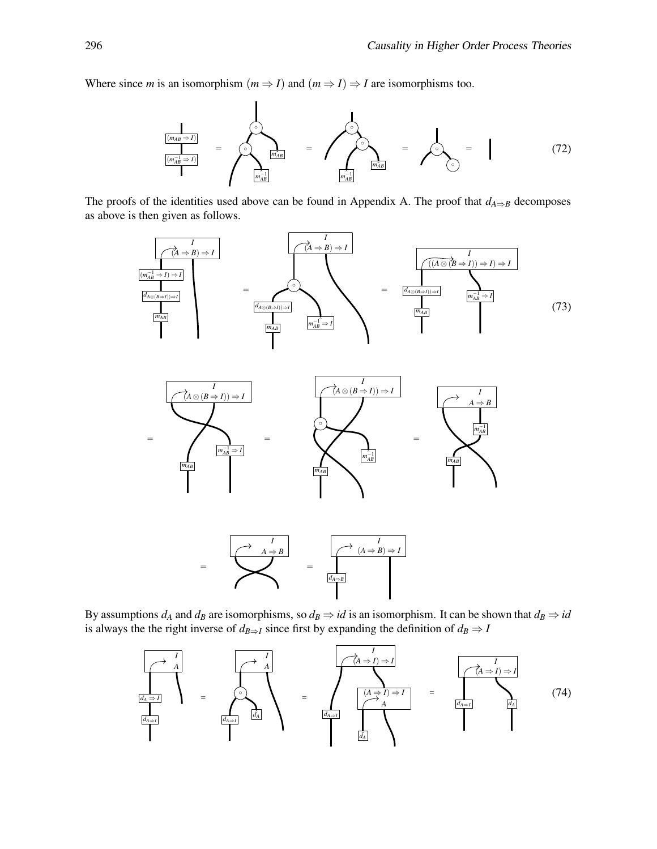Where since *m* is an isomorphism  $(m \Rightarrow I)$  and  $(m \Rightarrow I) \Rightarrow I$  are isomorphisms too.



The proofs of the identities used above can be found in Appendix A. The proof that  $d_{A\Rightarrow B}$  decomposes as above is then given as follows.



By assumptions  $d_A$  and  $d_B$  are isomorphisms, so  $d_B \Rightarrow id$  is an isomorphism. It can be shown that  $d_B \Rightarrow id$ is always the the right inverse of  $d_{B\Rightarrow I}$  since first by expanding the definition of  $d_B \Rightarrow I$ 

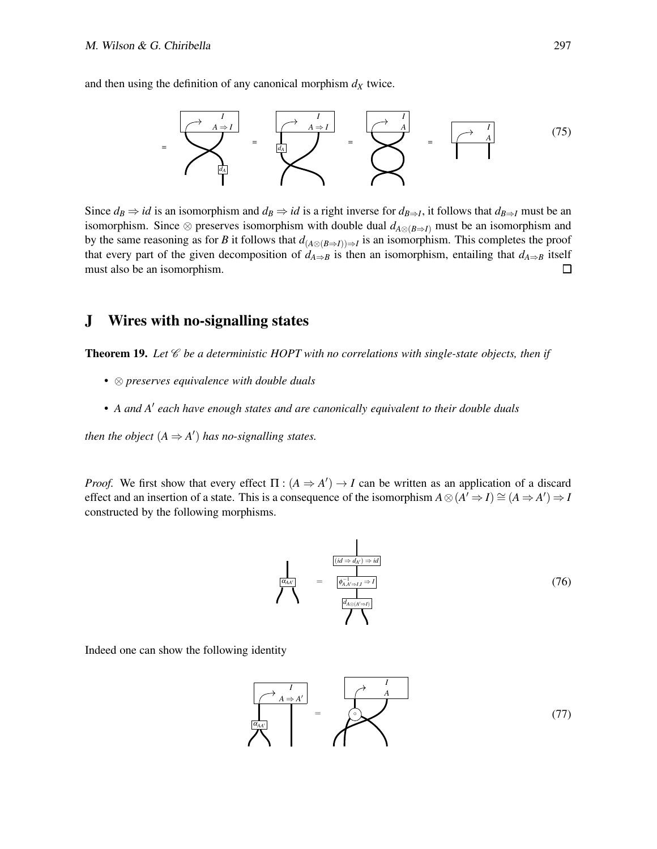and then using the definition of any canonical morphism  $d<sub>X</sub>$  twice.



Since  $d_B \Rightarrow id$  is an isomorphism and  $d_B \Rightarrow id$  is a right inverse for  $d_{B\Rightarrow I}$ , it follows that  $d_{B\Rightarrow I}$  must be an isomorphism. Since  $\otimes$  preserves isomorphism with double dual  $d_{A\otimes (B\Rightarrow I)}$  must be an isomorphism and by the same reasoning as for *B* it follows that  $d_{(A\otimes (B\Rightarrow I))\Rightarrow I}$  is an isomorphism. This completes the proof that every part of the given decomposition of  $d_{A\Rightarrow B}$  is then an isomorphism, entailing that  $d_{A\Rightarrow B}$  itself must also be an isomorphism.  $\Box$ 

### J Wires with no-signalling states

Theorem 19. *Let* C *be a deterministic HOPT with no correlations with single-state objects, then if*

- ⊗ *preserves equivalence with double duals*
- *A and A*′ *each have enough states and are canonically equivalent to their double duals*

*then the object*  $(A \Rightarrow A')$  *has no-signalling states.* 

*Proof.* We first show that every effect  $\Pi$  :  $(A \Rightarrow A') \rightarrow I$  can be written as an application of a discard effect and an insertion of a state. This is a consequence of the isomorphism  $A \otimes (A' \Rightarrow I) \cong (A \Rightarrow A') \Rightarrow I$ constructed by the following morphisms.

$$
\frac{d}{\left(\frac{dA}{dA}\right)} = \frac{\frac{[id \Rightarrow d_A) \Rightarrow id]}{\phi_{A,A \Rightarrow I, I} \Rightarrow I}}{\frac{d_{A \otimes (A \Rightarrow I)}}{\phi_{A \otimes (A \Rightarrow I)}}}
$$
(76)

Indeed one can show the following identity

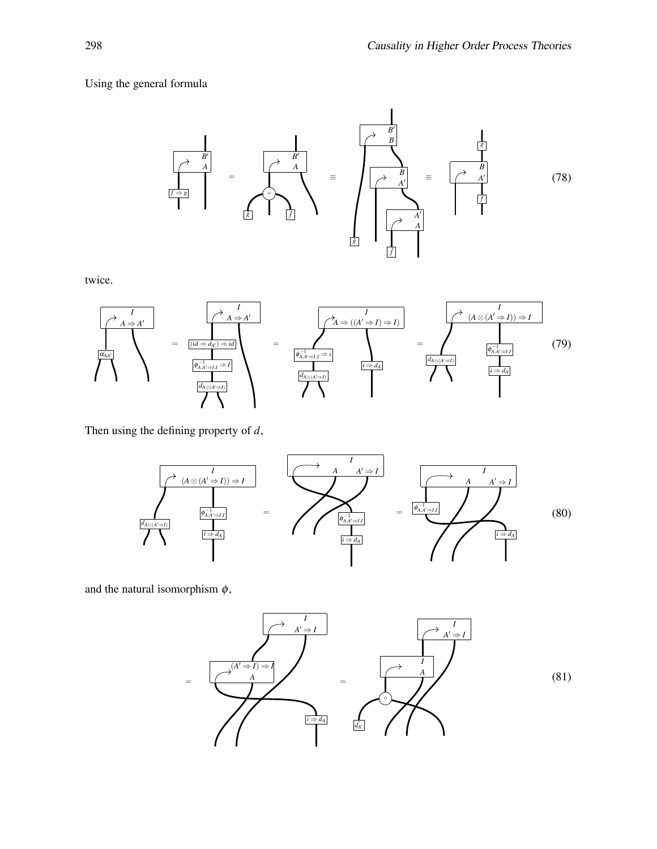### Using the general formula



twice.



Then using the defining property of *d*,



and the natural isomorphism  $\phi$ ,

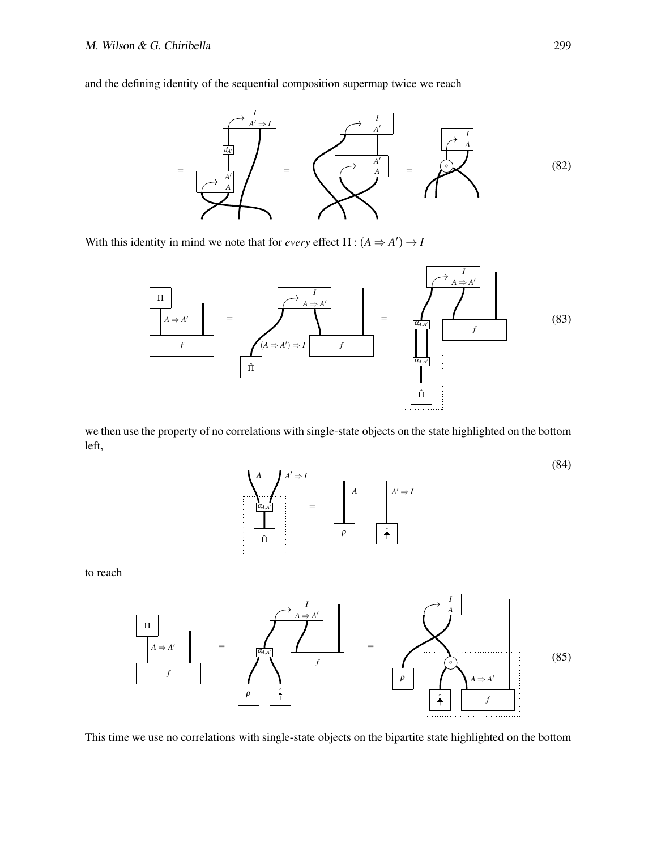and the defining identity of the sequential composition supermap twice we reach



With this identity in mind we note that for *every* effect  $\Pi$  :  $(A \Rightarrow A') \rightarrow I$ 



we then use the property of no correlations with single-state objects on the state highlighted on the bottom left,



to reach



This time we use no correlations with single-state objects on the bipartite state highlighted on the bottom

(84)